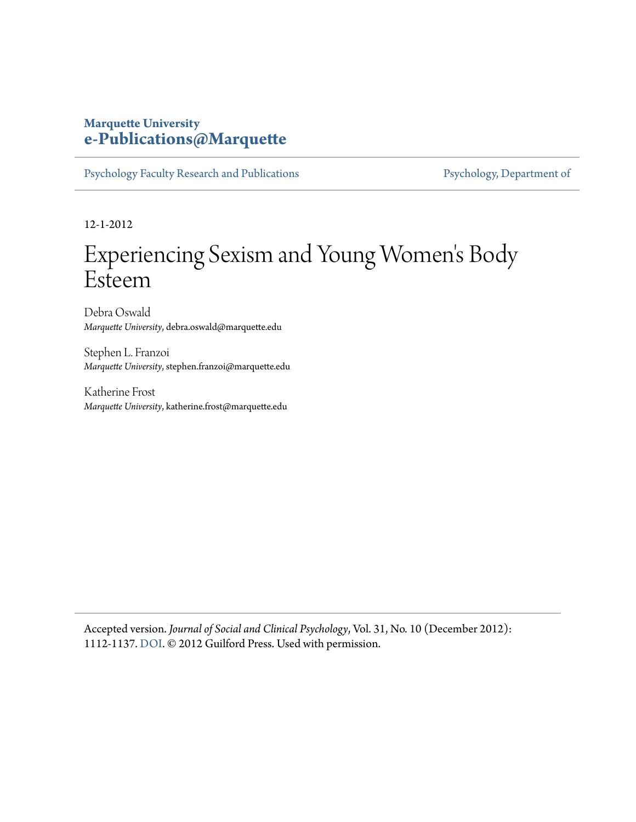# **Marquette University [e-Publications@Marquette](https://epublications.marquette.edu)**

[Psychology Faculty Research and Publications](https://epublications.marquette.edu/psych_fac) [Psychology, Department of](https://epublications.marquette.edu/psychology)

12-1-2012

# Experiencing Sexism and Young Women 's Body Esteem

Debra Oswald *Marquette University*, debra.oswald@marquette.edu

Stephen L. Franzoi *Marquette University*, stephen.franzoi@marquette.edu

Katherine Frost *Marquette University*, katherine.frost@marquette.edu

Accepted version. *Journal of Social and Clinical Psychology*, Vol. 31, No. 10 (December 2012): 1112-1137. [DOI](http://dx.doi.org/10.1521/jscp.2012.31.10.1112). © 2012 Guilford Press. Used with permission.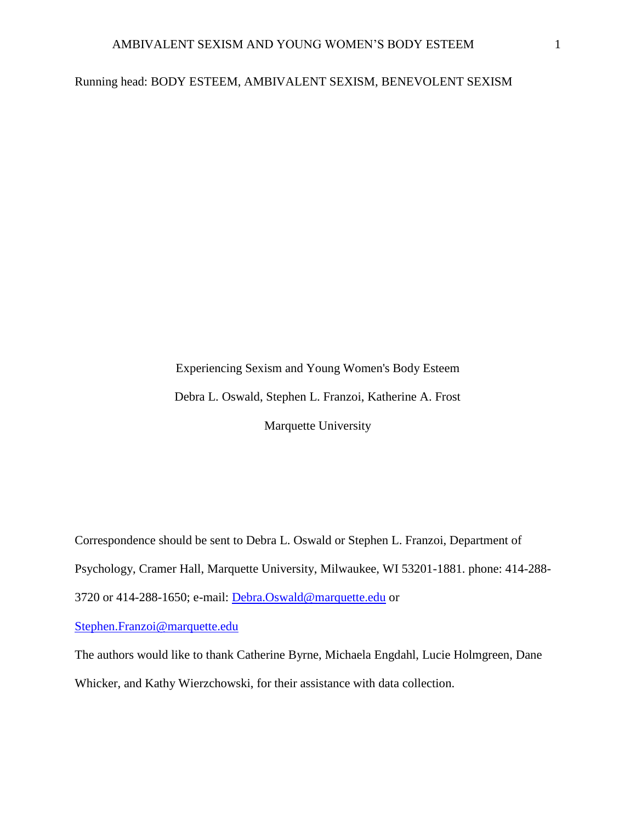# Running head: BODY ESTEEM, AMBIVALENT SEXISM, BENEVOLENT SEXISM

Experiencing Sexism and Young Women's Body Esteem Debra L. Oswald, Stephen L. Franzoi, Katherine A. Frost Marquette University

Correspondence should be sent to Debra L. Oswald or Stephen L. Franzoi, Department of Psychology, Cramer Hall, Marquette University, Milwaukee, WI 53201-1881. phone: 414-288- 3720 or 414-288-1650; e-mail: [Debra.Oswald@marquette.edu](mailto:Debra.Oswald@marquette.edu) or

[Stephen.Franzoi@marquette.edu](mailto:Stephen.Franzoi@marquette.edu)

The authors would like to thank Catherine Byrne, Michaela Engdahl, Lucie Holmgreen, Dane Whicker, and Kathy Wierzchowski, for their assistance with data collection.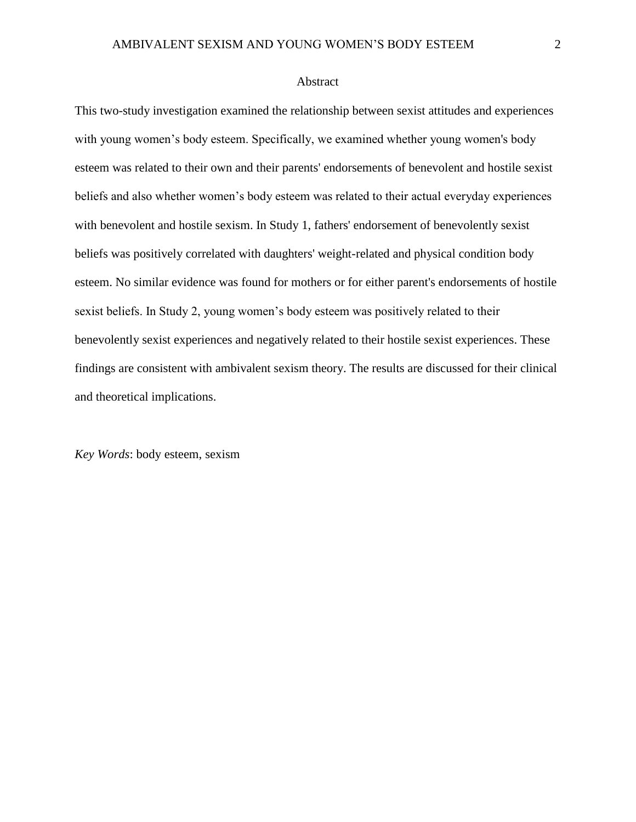#### Abstract

This two-study investigation examined the relationship between sexist attitudes and experiences with young women's body esteem. Specifically, we examined whether young women's body esteem was related to their own and their parents' endorsements of benevolent and hostile sexist beliefs and also whether women's body esteem was related to their actual everyday experiences with benevolent and hostile sexism. In Study 1, fathers' endorsement of benevolently sexist beliefs was positively correlated with daughters' weight-related and physical condition body esteem. No similar evidence was found for mothers or for either parent's endorsements of hostile sexist beliefs. In Study 2, young women's body esteem was positively related to their benevolently sexist experiences and negatively related to their hostile sexist experiences. These findings are consistent with ambivalent sexism theory. The results are discussed for their clinical and theoretical implications.

*Key Words*: body esteem, sexism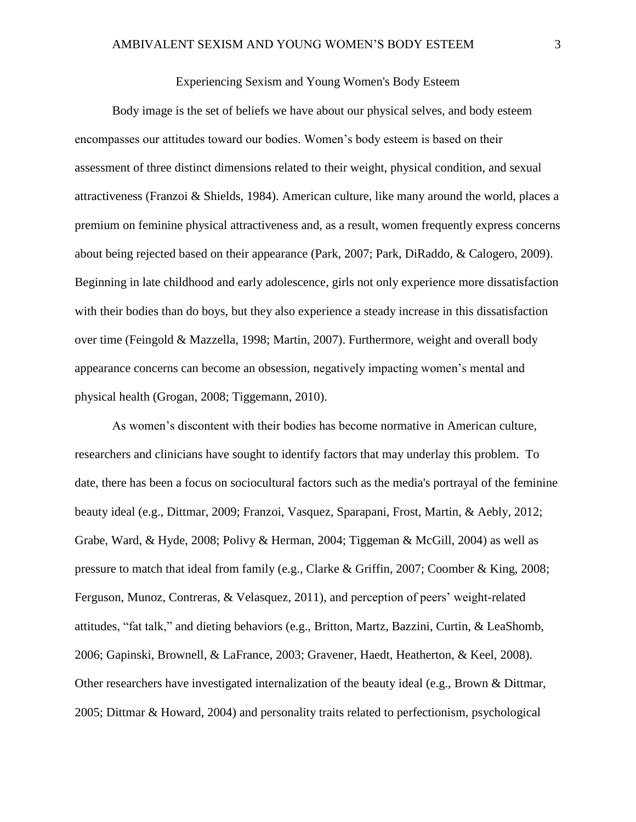# Experiencing Sexism and Young Women's Body Esteem

Body image is the set of beliefs we have about our physical selves, and body esteem encompasses our attitudes toward our bodies. Women's body esteem is based on their assessment of three distinct dimensions related to their weight, physical condition, and sexual attractiveness (Franzoi & Shields, 1984). American culture, like many around the world, places a premium on feminine physical attractiveness and, as a result, women frequently express concerns about being rejected based on their appearance (Park, 2007; Park, DiRaddo, & Calogero, 2009). Beginning in late childhood and early adolescence, girls not only experience more dissatisfaction with their bodies than do boys, but they also experience a steady increase in this dissatisfaction over time (Feingold & Mazzella, 1998; Martin, 2007). Furthermore, weight and overall body appearance concerns can become an obsession, negatively impacting women's mental and physical health (Grogan, 2008; Tiggemann, 2010).

As women's discontent with their bodies has become normative in American culture, researchers and clinicians have sought to identify factors that may underlay this problem. To date, there has been a focus on sociocultural factors such as the media's portrayal of the feminine beauty ideal (e.g., Dittmar, 2009; Franzoi, Vasquez, Sparapani, Frost, Martin, & Aebly, 2012; Grabe, Ward, & Hyde, 2008; Polivy & Herman, 2004; Tiggeman & McGill, 2004) as well as pressure to match that ideal from family (e.g., Clarke & Griffin, 2007; Coomber & King, 2008; Ferguson, Munoz, Contreras, & Velasquez, 2011), and perception of peers' weight-related attitudes, "fat talk," and dieting behaviors (e.g., Britton, Martz, Bazzini, Curtin, & LeaShomb, 2006; Gapinski, Brownell, & LaFrance, 2003; Gravener, Haedt, Heatherton, & Keel, 2008). Other researchers have investigated internalization of the beauty ideal (e.g., Brown & Dittmar, 2005; Dittmar & Howard, 2004) and personality traits related to perfectionism, psychological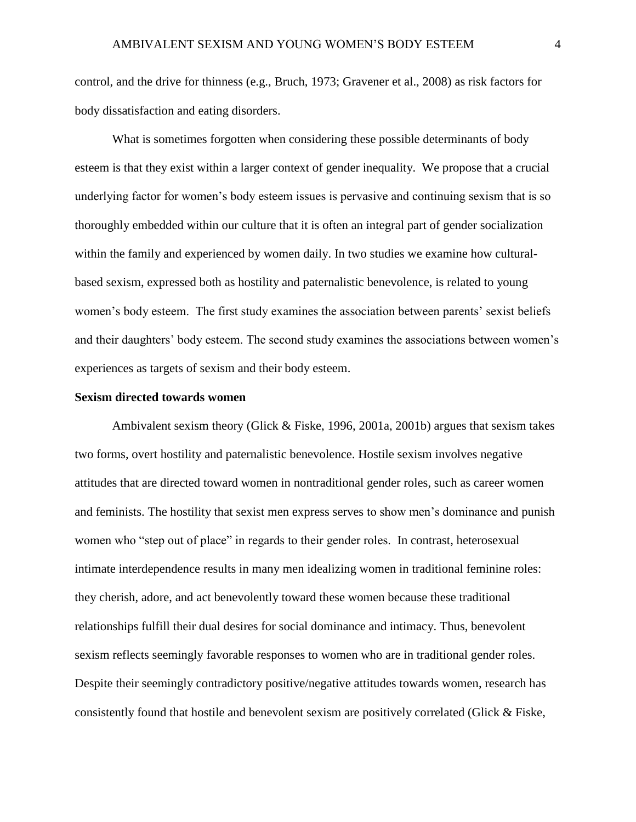control, and the drive for thinness (e.g., Bruch, 1973; Gravener et al., 2008) as risk factors for body dissatisfaction and eating disorders.

What is sometimes forgotten when considering these possible determinants of body esteem is that they exist within a larger context of gender inequality. We propose that a crucial underlying factor for women's body esteem issues is pervasive and continuing sexism that is so thoroughly embedded within our culture that it is often an integral part of gender socialization within the family and experienced by women daily. In two studies we examine how culturalbased sexism, expressed both as hostility and paternalistic benevolence, is related to young women's body esteem. The first study examines the association between parents' sexist beliefs and their daughters' body esteem. The second study examines the associations between women's experiences as targets of sexism and their body esteem.

# **Sexism directed towards women**

Ambivalent sexism theory (Glick & Fiske, 1996, 2001a, 2001b) argues that sexism takes two forms, overt hostility and paternalistic benevolence. Hostile sexism involves negative attitudes that are directed toward women in nontraditional gender roles, such as career women and feminists. The hostility that sexist men express serves to show men's dominance and punish women who "step out of place" in regards to their gender roles. In contrast, heterosexual intimate interdependence results in many men idealizing women in traditional feminine roles: they cherish, adore, and act benevolently toward these women because these traditional relationships fulfill their dual desires for social dominance and intimacy. Thus, benevolent sexism reflects seemingly favorable responses to women who are in traditional gender roles. Despite their seemingly contradictory positive/negative attitudes towards women, research has consistently found that hostile and benevolent sexism are positively correlated (Glick & Fiske,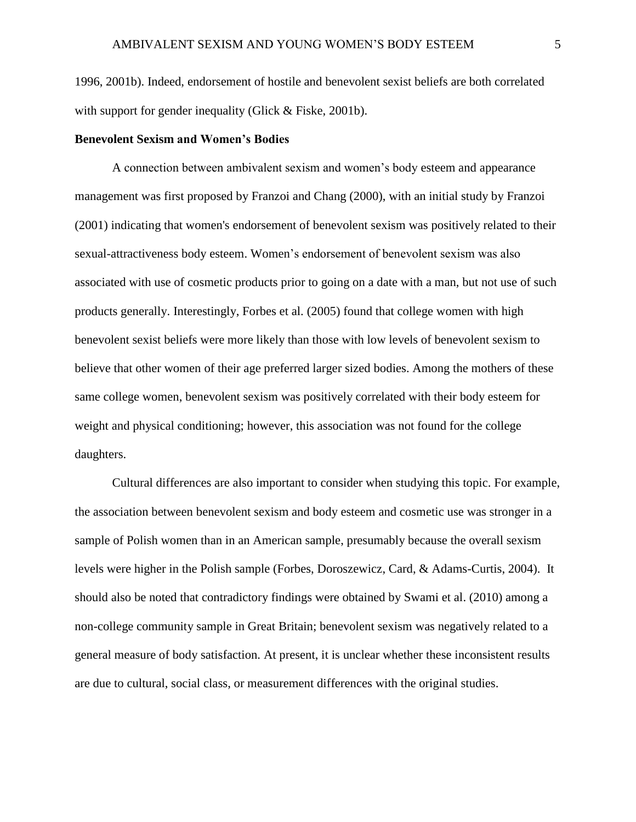1996, 2001b). Indeed, endorsement of hostile and benevolent sexist beliefs are both correlated with support for gender inequality (Glick & Fiske, 2001b).

# **Benevolent Sexism and Women's Bodies**

A connection between ambivalent sexism and women's body esteem and appearance management was first proposed by Franzoi and Chang (2000), with an initial study by Franzoi (2001) indicating that women's endorsement of benevolent sexism was positively related to their sexual-attractiveness body esteem. Women's endorsement of benevolent sexism was also associated with use of cosmetic products prior to going on a date with a man, but not use of such products generally. Interestingly, Forbes et al. (2005) found that college women with high benevolent sexist beliefs were more likely than those with low levels of benevolent sexism to believe that other women of their age preferred larger sized bodies. Among the mothers of these same college women, benevolent sexism was positively correlated with their body esteem for weight and physical conditioning; however, this association was not found for the college daughters.

Cultural differences are also important to consider when studying this topic. For example, the association between benevolent sexism and body esteem and cosmetic use was stronger in a sample of Polish women than in an American sample, presumably because the overall sexism levels were higher in the Polish sample (Forbes, Doroszewicz, Card, & Adams-Curtis, 2004). It should also be noted that contradictory findings were obtained by Swami et al. (2010) among a non-college community sample in Great Britain; benevolent sexism was negatively related to a general measure of body satisfaction. At present, it is unclear whether these inconsistent results are due to cultural, social class, or measurement differences with the original studies.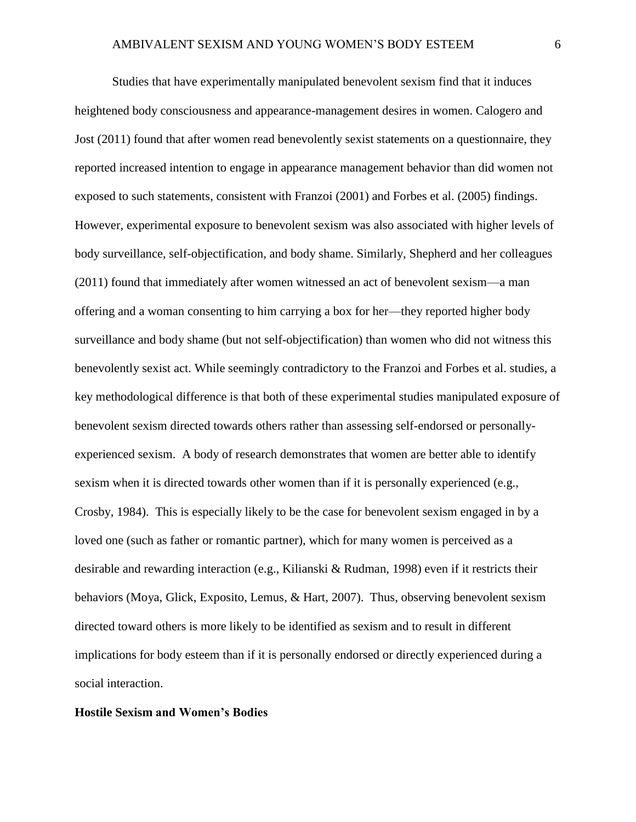Studies that have experimentally manipulated benevolent sexism find that it induces heightened body consciousness and appearance-management desires in women. Calogero and Jost (2011) found that after women read benevolently sexist statements on a questionnaire, they reported increased intention to engage in appearance management behavior than did women not exposed to such statements, consistent with Franzoi (2001) and Forbes et al. (2005) findings. However, experimental exposure to benevolent sexism was also associated with higher levels of body surveillance, self-objectification, and body shame. Similarly, Shepherd and her colleagues (2011) found that immediately after women witnessed an act of benevolent sexism—a man offering and a woman consenting to him carrying a box for her—they reported higher body surveillance and body shame (but not self-objectification) than women who did not witness this benevolently sexist act. While seemingly contradictory to the Franzoi and Forbes et al. studies, a key methodological difference is that both of these experimental studies manipulated exposure of benevolent sexism directed towards others rather than assessing self-endorsed or personallyexperienced sexism. A body of research demonstrates that women are better able to identify sexism when it is directed towards other women than if it is personally experienced (e.g., Crosby, 1984). This is especially likely to be the case for benevolent sexism engaged in by a loved one (such as father or romantic partner), which for many women is perceived as a desirable and rewarding interaction (e.g., Kilianski & Rudman, 1998) even if it restricts their behaviors (Moya, Glick, Exposito, Lemus, & Hart, 2007). Thus, observing benevolent sexism directed toward others is more likely to be identified as sexism and to result in different implications for body esteem than if it is personally endorsed or directly experienced during a social interaction.

#### **Hostile Sexism and Women's Bodies**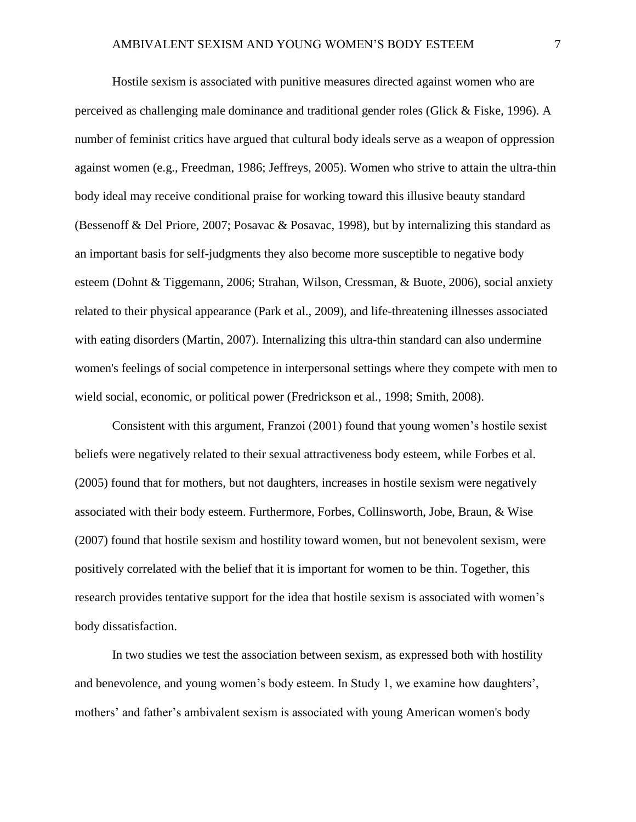Hostile sexism is associated with punitive measures directed against women who are perceived as challenging male dominance and traditional gender roles (Glick & Fiske, 1996). A number of feminist critics have argued that cultural body ideals serve as a weapon of oppression against women (e.g., Freedman, 1986; Jeffreys, 2005). Women who strive to attain the ultra-thin body ideal may receive conditional praise for working toward this illusive beauty standard (Bessenoff & Del Priore, 2007; Posavac & Posavac, 1998), but by internalizing this standard as an important basis for self-judgments they also become more susceptible to negative body esteem (Dohnt & Tiggemann, 2006; Strahan, Wilson, Cressman, & Buote, 2006), social anxiety related to their physical appearance (Park et al., 2009), and life-threatening illnesses associated with eating disorders (Martin, 2007). Internalizing this ultra-thin standard can also undermine women's feelings of social competence in interpersonal settings where they compete with men to wield social, economic, or political power (Fredrickson et al., 1998; Smith, 2008).

Consistent with this argument, Franzoi (2001) found that young women's hostile sexist beliefs were negatively related to their sexual attractiveness body esteem, while Forbes et al. (2005) found that for mothers, but not daughters, increases in hostile sexism were negatively associated with their body esteem. Furthermore, Forbes, Collinsworth, Jobe, Braun, & Wise (2007) found that hostile sexism and hostility toward women, but not benevolent sexism, were positively correlated with the belief that it is important for women to be thin. Together, this research provides tentative support for the idea that hostile sexism is associated with women's body dissatisfaction.

In two studies we test the association between sexism, as expressed both with hostility and benevolence, and young women's body esteem. In Study 1, we examine how daughters', mothers' and father's ambivalent sexism is associated with young American women's body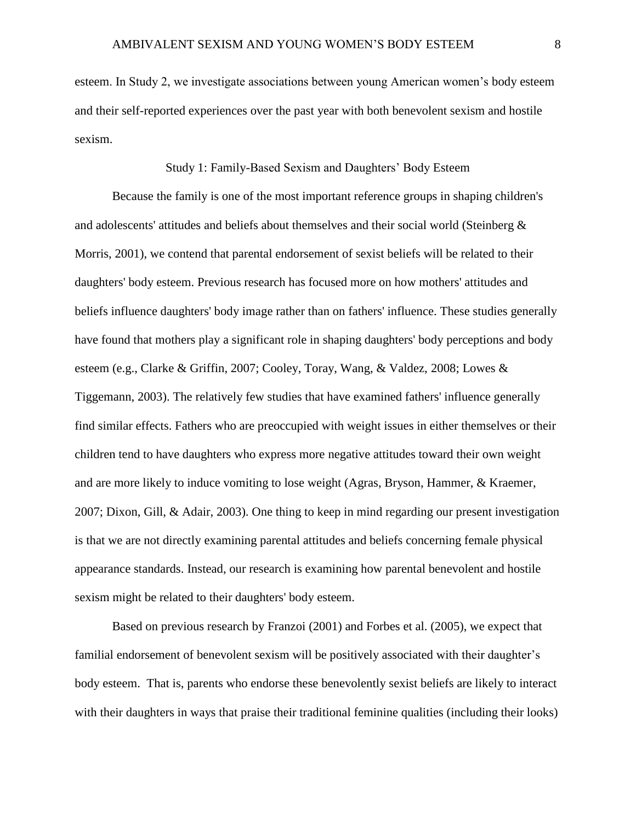esteem. In Study 2, we investigate associations between young American women's body esteem and their self-reported experiences over the past year with both benevolent sexism and hostile sexism.

# Study 1: Family-Based Sexism and Daughters' Body Esteem

Because the family is one of the most important reference groups in shaping children's and adolescents' attitudes and beliefs about themselves and their social world (Steinberg & Morris, 2001), we contend that parental endorsement of sexist beliefs will be related to their daughters' body esteem. Previous research has focused more on how mothers' attitudes and beliefs influence daughters' body image rather than on fathers' influence. These studies generally have found that mothers play a significant role in shaping daughters' body perceptions and body esteem (e.g., Clarke & Griffin, 2007; Cooley, Toray, Wang, & Valdez, 2008; Lowes & Tiggemann, 2003). The relatively few studies that have examined fathers' influence generally find similar effects. Fathers who are preoccupied with weight issues in either themselves or their children tend to have daughters who express more negative attitudes toward their own weight and are more likely to induce vomiting to lose weight (Agras, Bryson, Hammer, & Kraemer, 2007; Dixon, Gill, & Adair, 2003). One thing to keep in mind regarding our present investigation is that we are not directly examining parental attitudes and beliefs concerning female physical appearance standards. Instead, our research is examining how parental benevolent and hostile sexism might be related to their daughters' body esteem.

Based on previous research by Franzoi (2001) and Forbes et al. (2005), we expect that familial endorsement of benevolent sexism will be positively associated with their daughter's body esteem. That is, parents who endorse these benevolently sexist beliefs are likely to interact with their daughters in ways that praise their traditional feminine qualities (including their looks)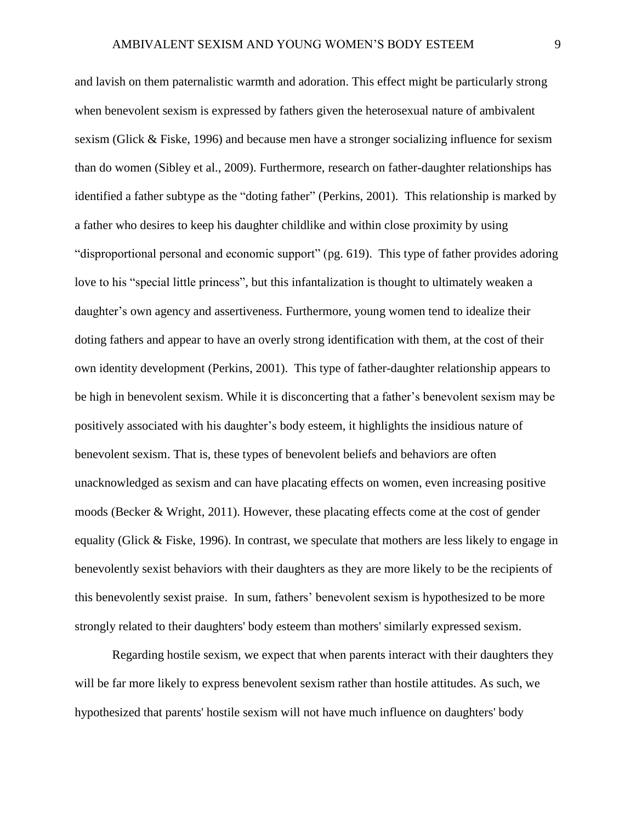and lavish on them paternalistic warmth and adoration. This effect might be particularly strong when benevolent sexism is expressed by fathers given the heterosexual nature of ambivalent sexism (Glick & Fiske, 1996) and because men have a stronger socializing influence for sexism than do women (Sibley et al., 2009). Furthermore, research on father-daughter relationships has identified a father subtype as the "doting father" (Perkins, 2001). This relationship is marked by a father who desires to keep his daughter childlike and within close proximity by using "disproportional personal and economic support" (pg. 619). This type of father provides adoring love to his "special little princess", but this infantalization is thought to ultimately weaken a daughter's own agency and assertiveness. Furthermore, young women tend to idealize their doting fathers and appear to have an overly strong identification with them, at the cost of their own identity development (Perkins, 2001). This type of father-daughter relationship appears to be high in benevolent sexism. While it is disconcerting that a father's benevolent sexism may be positively associated with his daughter's body esteem, it highlights the insidious nature of benevolent sexism. That is, these types of benevolent beliefs and behaviors are often unacknowledged as sexism and can have placating effects on women, even increasing positive moods (Becker & Wright, 2011). However, these placating effects come at the cost of gender equality (Glick & Fiske, 1996). In contrast, we speculate that mothers are less likely to engage in benevolently sexist behaviors with their daughters as they are more likely to be the recipients of this benevolently sexist praise. In sum, fathers' benevolent sexism is hypothesized to be more strongly related to their daughters' body esteem than mothers' similarly expressed sexism.

Regarding hostile sexism, we expect that when parents interact with their daughters they will be far more likely to express benevolent sexism rather than hostile attitudes. As such, we hypothesized that parents' hostile sexism will not have much influence on daughters' body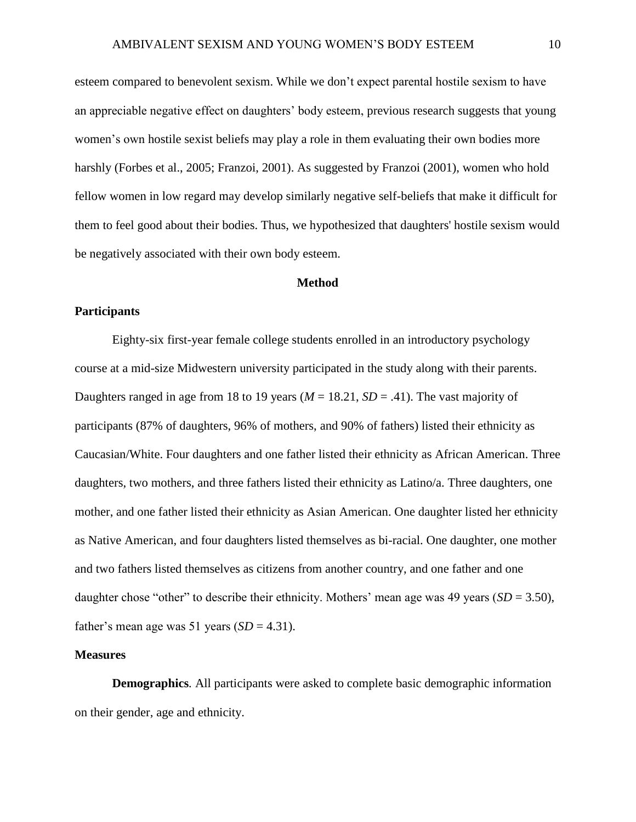esteem compared to benevolent sexism. While we don't expect parental hostile sexism to have an appreciable negative effect on daughters' body esteem, previous research suggests that young women's own hostile sexist beliefs may play a role in them evaluating their own bodies more harshly (Forbes et al., 2005; Franzoi, 2001). As suggested by Franzoi (2001), women who hold fellow women in low regard may develop similarly negative self-beliefs that make it difficult for them to feel good about their bodies. Thus, we hypothesized that daughters' hostile sexism would be negatively associated with their own body esteem.

#### **Method**

# **Participants**

Eighty-six first-year female college students enrolled in an introductory psychology course at a mid-size Midwestern university participated in the study along with their parents. Daughters ranged in age from 18 to 19 years ( $M = 18.21$ ,  $SD = .41$ ). The vast majority of participants (87% of daughters, 96% of mothers, and 90% of fathers) listed their ethnicity as Caucasian/White. Four daughters and one father listed their ethnicity as African American. Three daughters, two mothers, and three fathers listed their ethnicity as Latino/a. Three daughters, one mother, and one father listed their ethnicity as Asian American. One daughter listed her ethnicity as Native American, and four daughters listed themselves as bi-racial. One daughter, one mother and two fathers listed themselves as citizens from another country, and one father and one daughter chose "other" to describe their ethnicity. Mothers' mean age was 49 years ( $SD = 3.50$ ), father's mean age was 51 years  $(SD = 4.31)$ .

#### **Measures**

**Demographics***.* All participants were asked to complete basic demographic information on their gender, age and ethnicity.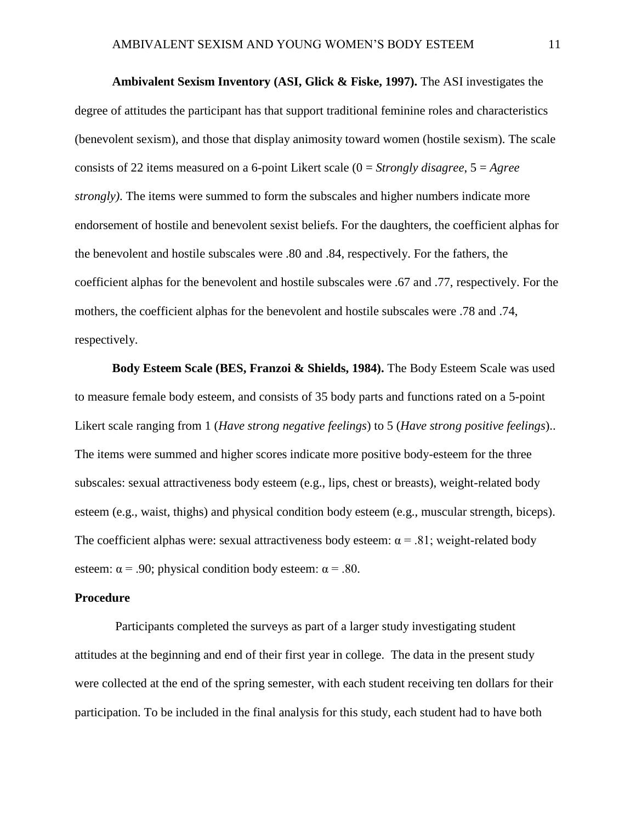**Ambivalent Sexism Inventory (ASI, Glick & Fiske, 1997).** The ASI investigates the degree of attitudes the participant has that support traditional feminine roles and characteristics (benevolent sexism), and those that display animosity toward women (hostile sexism). The scale consists of 22 items measured on a 6-point Likert scale (0 = *Strongly disagree*, 5 = *Agree strongly)*. The items were summed to form the subscales and higher numbers indicate more endorsement of hostile and benevolent sexist beliefs. For the daughters, the coefficient alphas for the benevolent and hostile subscales were .80 and .84, respectively. For the fathers, the coefficient alphas for the benevolent and hostile subscales were .67 and .77, respectively. For the mothers, the coefficient alphas for the benevolent and hostile subscales were .78 and .74, respectively.

**Body Esteem Scale (BES, Franzoi & Shields, 1984).** The Body Esteem Scale was used to measure female body esteem, and consists of 35 body parts and functions rated on a 5-point Likert scale ranging from 1 (*Have strong negative feelings*) to 5 (*Have strong positive feelings*).. The items were summed and higher scores indicate more positive body-esteem for the three subscales: sexual attractiveness body esteem (e.g., lips, chest or breasts), weight-related body esteem (e.g., waist, thighs) and physical condition body esteem (e.g., muscular strength, biceps). The coefficient alphas were: sexual attractiveness body esteem:  $\alpha = .81$ ; weight-related body esteem:  $\alpha$  = .90; physical condition body esteem:  $\alpha$  = .80.

#### **Procedure**

Participants completed the surveys as part of a larger study investigating student attitudes at the beginning and end of their first year in college. The data in the present study were collected at the end of the spring semester, with each student receiving ten dollars for their participation. To be included in the final analysis for this study, each student had to have both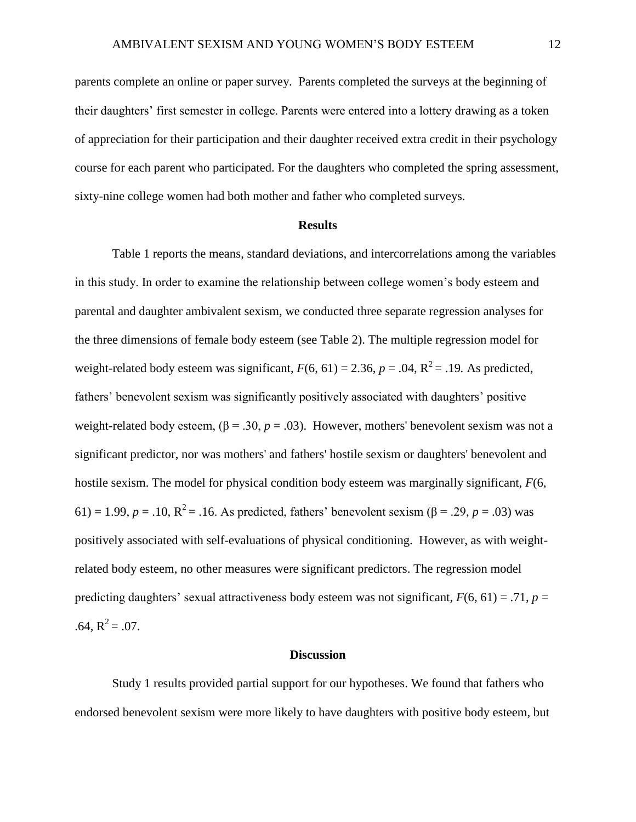parents complete an online or paper survey. Parents completed the surveys at the beginning of their daughters' first semester in college. Parents were entered into a lottery drawing as a token of appreciation for their participation and their daughter received extra credit in their psychology course for each parent who participated. For the daughters who completed the spring assessment, sixty-nine college women had both mother and father who completed surveys.

#### **Results**

Table 1 reports the means, standard deviations, and intercorrelations among the variables in this study. In order to examine the relationship between college women's body esteem and parental and daughter ambivalent sexism, we conducted three separate regression analyses for the three dimensions of female body esteem (see Table 2). The multiple regression model for weight-related body esteem was significant,  $F(6, 61) = 2.36$ ,  $p = .04$ ,  $R^2 = .19$ . As predicted, fathers' benevolent sexism was significantly positively associated with daughters' positive weight-related body esteem,  $(\beta = .30, p = .03)$ . However, mothers' benevolent sexism was not a significant predictor, nor was mothers' and fathers' hostile sexism or daughters' benevolent and hostile sexism. The model for physical condition body esteem was marginally significant, *F*(6, 61) = 1.99,  $p = .10$ ,  $R^2 = .16$ . As predicted, fathers' benevolent sexism ( $\beta = .29$ ,  $p = .03$ ) was positively associated with self-evaluations of physical conditioning. However, as with weightrelated body esteem, no other measures were significant predictors. The regression model predicting daughters' sexual attractiveness body esteem was not significant,  $F(6, 61) = .71$ ,  $p =$  $.64, R^2 = .07.$ 

#### **Discussion**

Study 1 results provided partial support for our hypotheses. We found that fathers who endorsed benevolent sexism were more likely to have daughters with positive body esteem, but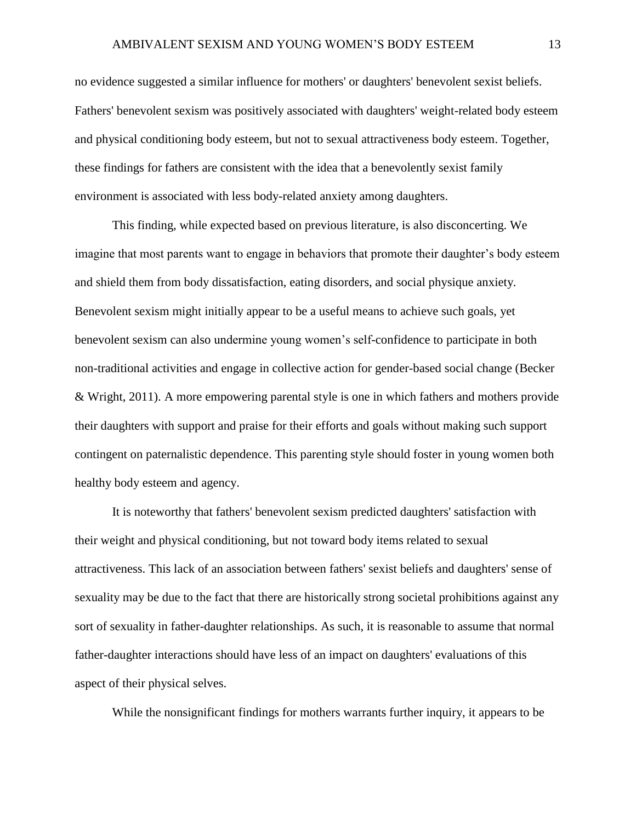no evidence suggested a similar influence for mothers' or daughters' benevolent sexist beliefs. Fathers' benevolent sexism was positively associated with daughters' weight-related body esteem and physical conditioning body esteem, but not to sexual attractiveness body esteem. Together, these findings for fathers are consistent with the idea that a benevolently sexist family environment is associated with less body-related anxiety among daughters.

This finding, while expected based on previous literature, is also disconcerting. We imagine that most parents want to engage in behaviors that promote their daughter's body esteem and shield them from body dissatisfaction, eating disorders, and social physique anxiety. Benevolent sexism might initially appear to be a useful means to achieve such goals, yet benevolent sexism can also undermine young women's self-confidence to participate in both non-traditional activities and engage in collective action for gender-based social change (Becker & Wright, 2011). A more empowering parental style is one in which fathers and mothers provide their daughters with support and praise for their efforts and goals without making such support contingent on paternalistic dependence. This parenting style should foster in young women both healthy body esteem and agency.

It is noteworthy that fathers' benevolent sexism predicted daughters' satisfaction with their weight and physical conditioning, but not toward body items related to sexual attractiveness. This lack of an association between fathers' sexist beliefs and daughters' sense of sexuality may be due to the fact that there are historically strong societal prohibitions against any sort of sexuality in father-daughter relationships. As such, it is reasonable to assume that normal father-daughter interactions should have less of an impact on daughters' evaluations of this aspect of their physical selves.

While the nonsignificant findings for mothers warrants further inquiry, it appears to be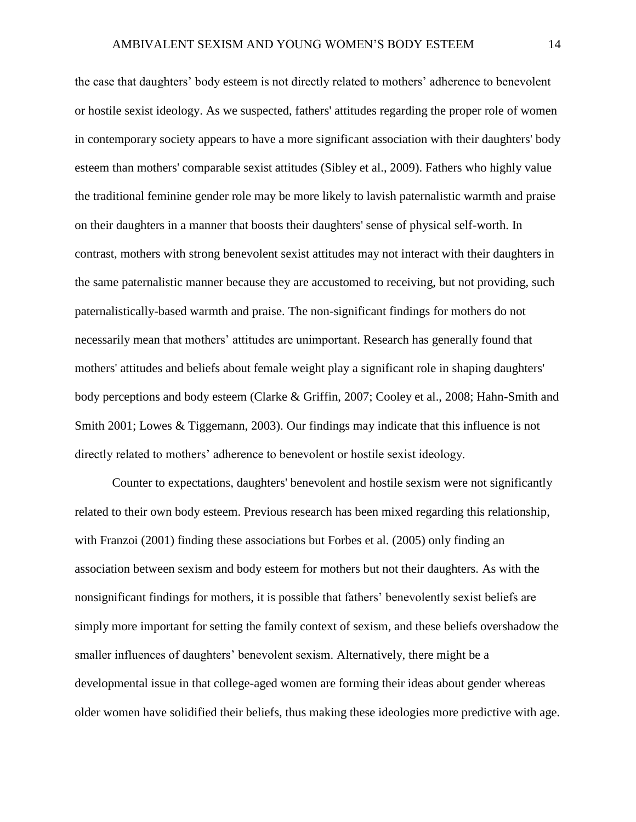the case that daughters' body esteem is not directly related to mothers' adherence to benevolent or hostile sexist ideology. As we suspected, fathers' attitudes regarding the proper role of women in contemporary society appears to have a more significant association with their daughters' body esteem than mothers' comparable sexist attitudes (Sibley et al., 2009). Fathers who highly value the traditional feminine gender role may be more likely to lavish paternalistic warmth and praise on their daughters in a manner that boosts their daughters' sense of physical self-worth. In contrast, mothers with strong benevolent sexist attitudes may not interact with their daughters in the same paternalistic manner because they are accustomed to receiving, but not providing, such paternalistically-based warmth and praise. The non-significant findings for mothers do not necessarily mean that mothers' attitudes are unimportant. Research has generally found that mothers' attitudes and beliefs about female weight play a significant role in shaping daughters' body perceptions and body esteem (Clarke & Griffin, 2007; Cooley et al., 2008; Hahn-Smith and Smith 2001; Lowes & Tiggemann, 2003). Our findings may indicate that this influence is not directly related to mothers' adherence to benevolent or hostile sexist ideology.

Counter to expectations, daughters' benevolent and hostile sexism were not significantly related to their own body esteem. Previous research has been mixed regarding this relationship, with Franzoi (2001) finding these associations but Forbes et al. (2005) only finding an association between sexism and body esteem for mothers but not their daughters. As with the nonsignificant findings for mothers, it is possible that fathers' benevolently sexist beliefs are simply more important for setting the family context of sexism, and these beliefs overshadow the smaller influences of daughters' benevolent sexism. Alternatively, there might be a developmental issue in that college-aged women are forming their ideas about gender whereas older women have solidified their beliefs, thus making these ideologies more predictive with age.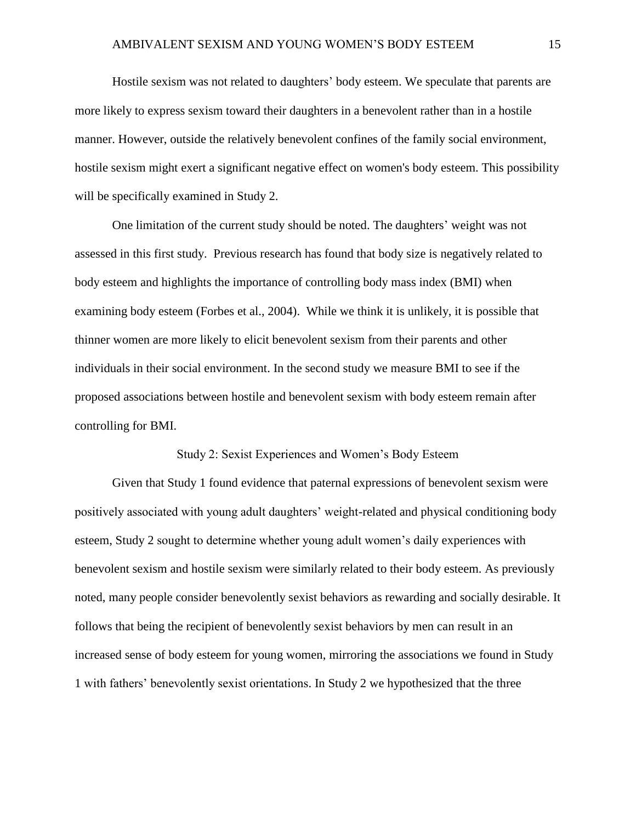Hostile sexism was not related to daughters' body esteem. We speculate that parents are more likely to express sexism toward their daughters in a benevolent rather than in a hostile manner. However, outside the relatively benevolent confines of the family social environment, hostile sexism might exert a significant negative effect on women's body esteem. This possibility will be specifically examined in Study 2.

One limitation of the current study should be noted. The daughters' weight was not assessed in this first study. Previous research has found that body size is negatively related to body esteem and highlights the importance of controlling body mass index (BMI) when examining body esteem (Forbes et al., 2004). While we think it is unlikely, it is possible that thinner women are more likely to elicit benevolent sexism from their parents and other individuals in their social environment. In the second study we measure BMI to see if the proposed associations between hostile and benevolent sexism with body esteem remain after controlling for BMI.

# Study 2: Sexist Experiences and Women's Body Esteem

Given that Study 1 found evidence that paternal expressions of benevolent sexism were positively associated with young adult daughters' weight-related and physical conditioning body esteem, Study 2 sought to determine whether young adult women's daily experiences with benevolent sexism and hostile sexism were similarly related to their body esteem. As previously noted, many people consider benevolently sexist behaviors as rewarding and socially desirable. It follows that being the recipient of benevolently sexist behaviors by men can result in an increased sense of body esteem for young women, mirroring the associations we found in Study 1 with fathers' benevolently sexist orientations. In Study 2 we hypothesized that the three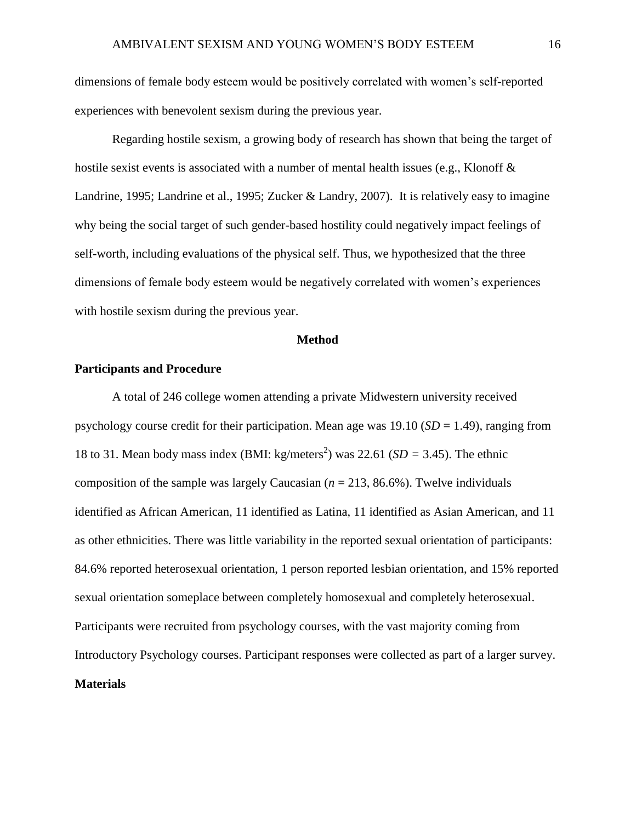dimensions of female body esteem would be positively correlated with women's self-reported experiences with benevolent sexism during the previous year.

Regarding hostile sexism, a growing body of research has shown that being the target of hostile sexist events is associated with a number of mental health issues (e.g., Klonoff & Landrine, 1995; Landrine et al., 1995; Zucker & Landry, 2007). It is relatively easy to imagine why being the social target of such gender-based hostility could negatively impact feelings of self-worth, including evaluations of the physical self. Thus, we hypothesized that the three dimensions of female body esteem would be negatively correlated with women's experiences with hostile sexism during the previous year.

# **Method**

# **Participants and Procedure**

A total of 246 college women attending a private Midwestern university received psychology course credit for their participation. Mean age was 19.10 (*SD* = 1.49), ranging from 18 to 31. Mean body mass index (BMI: kg/meters<sup>2</sup>) was 22.61 ( $SD = 3.45$ ). The ethnic composition of the sample was largely Caucasian  $(n = 213, 86.6\%)$ . Twelve individuals identified as African American, 11 identified as Latina, 11 identified as Asian American, and 11 as other ethnicities. There was little variability in the reported sexual orientation of participants: 84.6% reported heterosexual orientation, 1 person reported lesbian orientation, and 15% reported sexual orientation someplace between completely homosexual and completely heterosexual. Participants were recruited from psychology courses, with the vast majority coming from Introductory Psychology courses. Participant responses were collected as part of a larger survey. **Materials**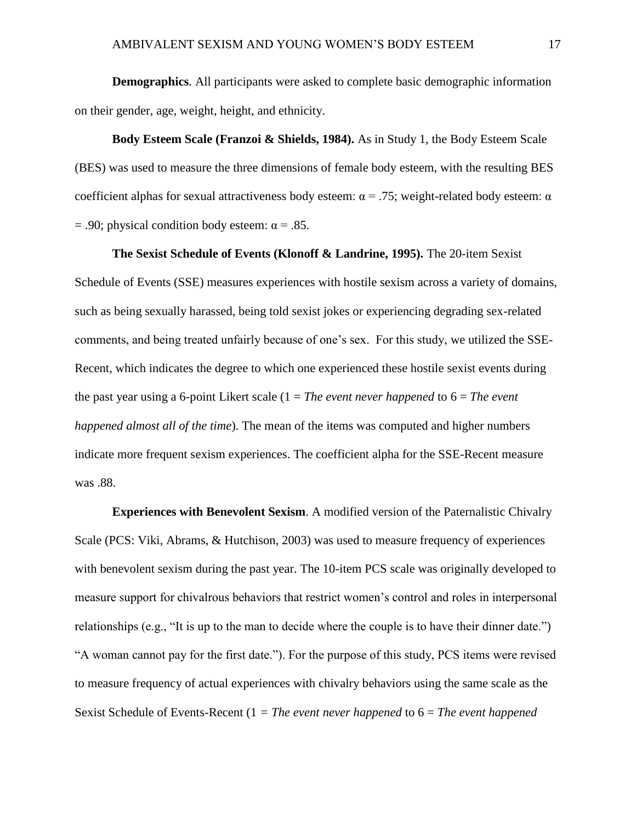**Demographics***.* All participants were asked to complete basic demographic information on their gender, age, weight, height, and ethnicity.

**Body Esteem Scale (Franzoi & Shields, 1984).** As in Study 1, the Body Esteem Scale (BES) was used to measure the three dimensions of female body esteem, with the resulting BES coefficient alphas for sexual attractiveness body esteem:  $\alpha$  = .75; weight-related body esteem:  $\alpha$  $= .90$ ; physical condition body esteem:  $\alpha = .85$ .

**The Sexist Schedule of Events (Klonoff & Landrine, 1995).** The 20-item Sexist Schedule of Events (SSE) measures experiences with hostile sexism across a variety of domains, such as being sexually harassed, being told sexist jokes or experiencing degrading sex-related comments, and being treated unfairly because of one's sex. For this study, we utilized the SSE-Recent, which indicates the degree to which one experienced these hostile sexist events during the past year using a 6-point Likert scale (1 = *The event never happened* to 6 = *The event happened almost all of the time*). The mean of the items was computed and higher numbers indicate more frequent sexism experiences. The coefficient alpha for the SSE-Recent measure was .88.

**Experiences with Benevolent Sexism**. A modified version of the Paternalistic Chivalry Scale (PCS: Viki, Abrams, & Hutchison, 2003) was used to measure frequency of experiences with benevolent sexism during the past year. The 10-item PCS scale was originally developed to measure support for chivalrous behaviors that restrict women's control and roles in interpersonal relationships (e.g., "It is up to the man to decide where the couple is to have their dinner date.") "A woman cannot pay for the first date."). For the purpose of this study, PCS items were revised to measure frequency of actual experiences with chivalry behaviors using the same scale as the Sexist Schedule of Events-Recent (1 *= The event never happened* to 6 = *The event happened*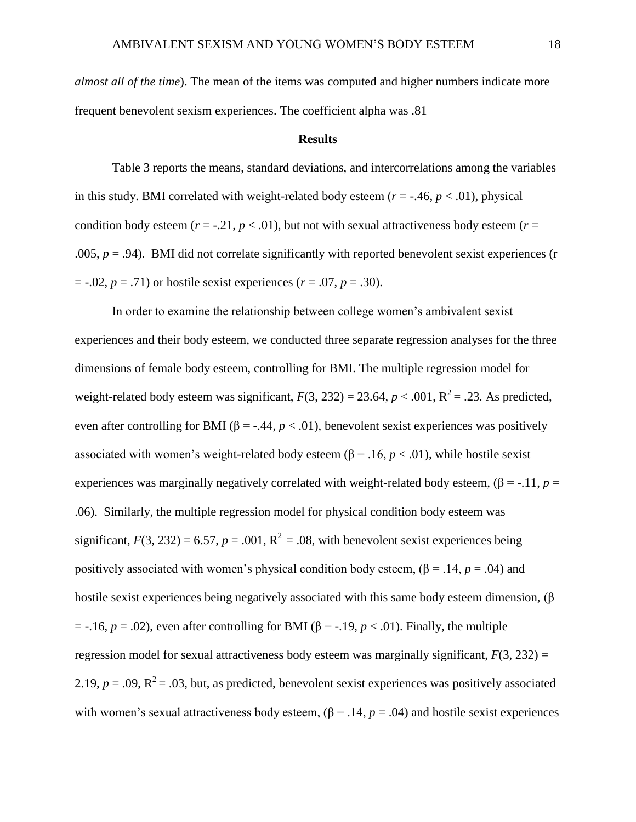*almost all of the time*). The mean of the items was computed and higher numbers indicate more frequent benevolent sexism experiences. The coefficient alpha was .81

#### **Results**

Table 3 reports the means, standard deviations, and intercorrelations among the variables in this study. BMI correlated with weight-related body esteem  $(r = -0.46, p < 0.01)$ , physical condition body esteem ( $r = -0.21$ ,  $p < 0.01$ ), but not with sexual attractiveness body esteem ( $r =$ .005,  $p = .94$ ). BMI did not correlate significantly with reported benevolent sexist experiences (r  $= -.02, p = .71$  or hostile sexist experiences ( $r = .07, p = .30$ ).

In order to examine the relationship between college women's ambivalent sexist experiences and their body esteem, we conducted three separate regression analyses for the three dimensions of female body esteem, controlling for BMI. The multiple regression model for weight-related body esteem was significant,  $F(3, 232) = 23.64$ ,  $p < .001$ ,  $R^2 = .23$ . As predicted, even after controlling for BMI ( $\beta$  = -.44,  $p < .01$ ), benevolent sexist experiences was positively associated with women's weight-related body esteem ( $\beta$  = .16,  $p < .01$ ), while hostile sexist experiences was marginally negatively correlated with weight-related body esteem,  $(\beta = -11, p = 11)$ .06). Similarly, the multiple regression model for physical condition body esteem was significant,  $F(3, 232) = 6.57$ ,  $p = .001$ ,  $R^2 = .08$ , with benevolent sexist experiences being positively associated with women's physical condition body esteem,  $(\beta = .14, p = .04)$  and hostile sexist experiences being negatively associated with this same body esteem dimension,  $(\beta$  $=$  -.16,  $p = .02$ ), even after controlling for BMI ( $\beta = -.19$ ,  $p < .01$ ). Finally, the multiple regression model for sexual attractiveness body esteem was marginally significant,  $F(3, 232) =$ 2.19,  $p = .09$ ,  $R^2 = .03$ , but, as predicted, benevolent sexist experiences was positively associated with women's sexual attractiveness body esteem,  $(\beta = .14, p = .04)$  and hostile sexist experiences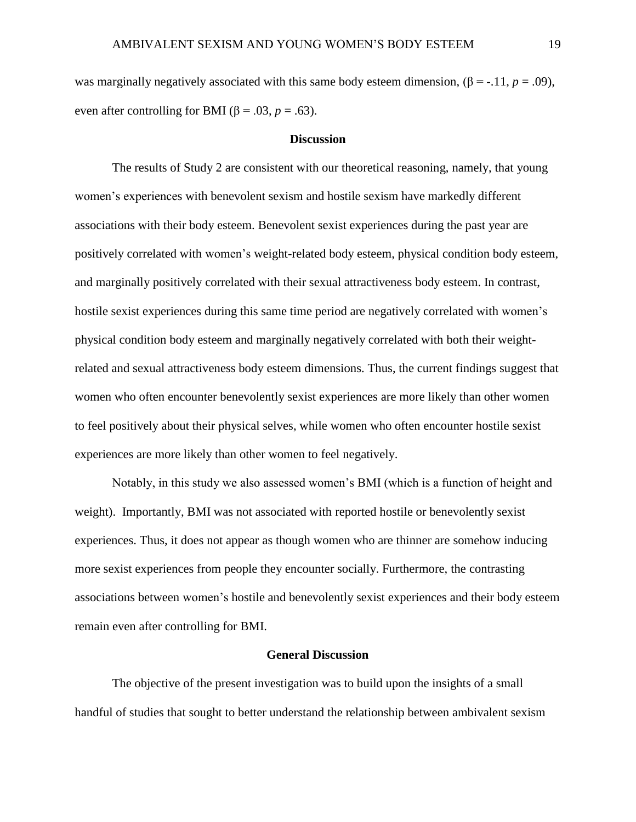was marginally negatively associated with this same body esteem dimension,  $(\beta = -11, p = .09)$ , even after controlling for BMI ( $\beta$  = .03, *p* = .63).

#### **Discussion**

The results of Study 2 are consistent with our theoretical reasoning, namely, that young women's experiences with benevolent sexism and hostile sexism have markedly different associations with their body esteem. Benevolent sexist experiences during the past year are positively correlated with women's weight-related body esteem, physical condition body esteem, and marginally positively correlated with their sexual attractiveness body esteem. In contrast, hostile sexist experiences during this same time period are negatively correlated with women's physical condition body esteem and marginally negatively correlated with both their weightrelated and sexual attractiveness body esteem dimensions. Thus, the current findings suggest that women who often encounter benevolently sexist experiences are more likely than other women to feel positively about their physical selves, while women who often encounter hostile sexist experiences are more likely than other women to feel negatively.

Notably, in this study we also assessed women's BMI (which is a function of height and weight). Importantly, BMI was not associated with reported hostile or benevolently sexist experiences. Thus, it does not appear as though women who are thinner are somehow inducing more sexist experiences from people they encounter socially. Furthermore, the contrasting associations between women's hostile and benevolently sexist experiences and their body esteem remain even after controlling for BMI.

# **General Discussion**

The objective of the present investigation was to build upon the insights of a small handful of studies that sought to better understand the relationship between ambivalent sexism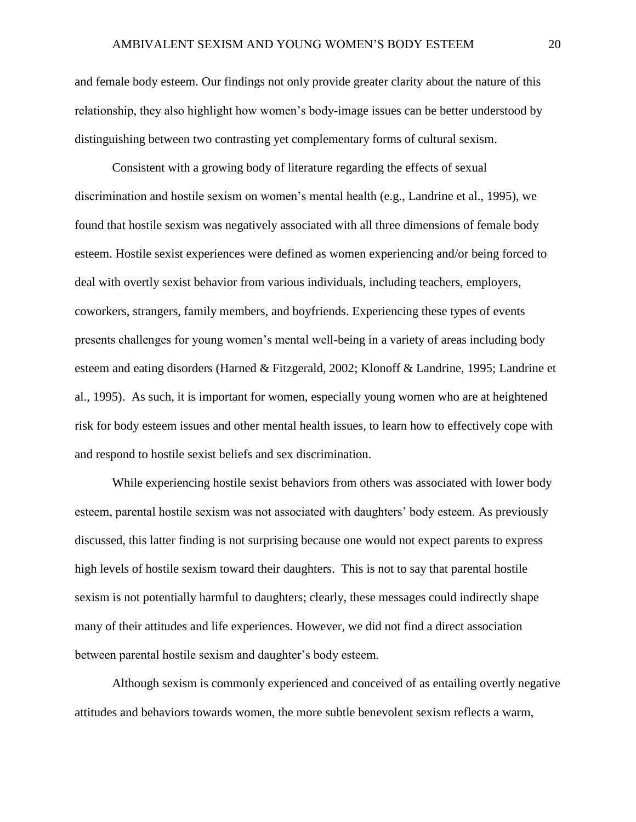and female body esteem. Our findings not only provide greater clarity about the nature of this relationship, they also highlight how women's body-image issues can be better understood by distinguishing between two contrasting yet complementary forms of cultural sexism.

Consistent with a growing body of literature regarding the effects of sexual discrimination and hostile sexism on women's mental health (e.g., Landrine et al., 1995), we found that hostile sexism was negatively associated with all three dimensions of female body esteem. Hostile sexist experiences were defined as women experiencing and/or being forced to deal with overtly sexist behavior from various individuals, including teachers, employers, coworkers, strangers, family members, and boyfriends. Experiencing these types of events presents challenges for young women's mental well-being in a variety of areas including body esteem and eating disorders (Harned & Fitzgerald, 2002; Klonoff & Landrine, 1995; Landrine et al., 1995). As such, it is important for women, especially young women who are at heightened risk for body esteem issues and other mental health issues, to learn how to effectively cope with and respond to hostile sexist beliefs and sex discrimination.

While experiencing hostile sexist behaviors from others was associated with lower body esteem, parental hostile sexism was not associated with daughters' body esteem. As previously discussed, this latter finding is not surprising because one would not expect parents to express high levels of hostile sexism toward their daughters. This is not to say that parental hostile sexism is not potentially harmful to daughters; clearly, these messages could indirectly shape many of their attitudes and life experiences. However, we did not find a direct association between parental hostile sexism and daughter's body esteem.

Although sexism is commonly experienced and conceived of as entailing overtly negative attitudes and behaviors towards women, the more subtle benevolent sexism reflects a warm,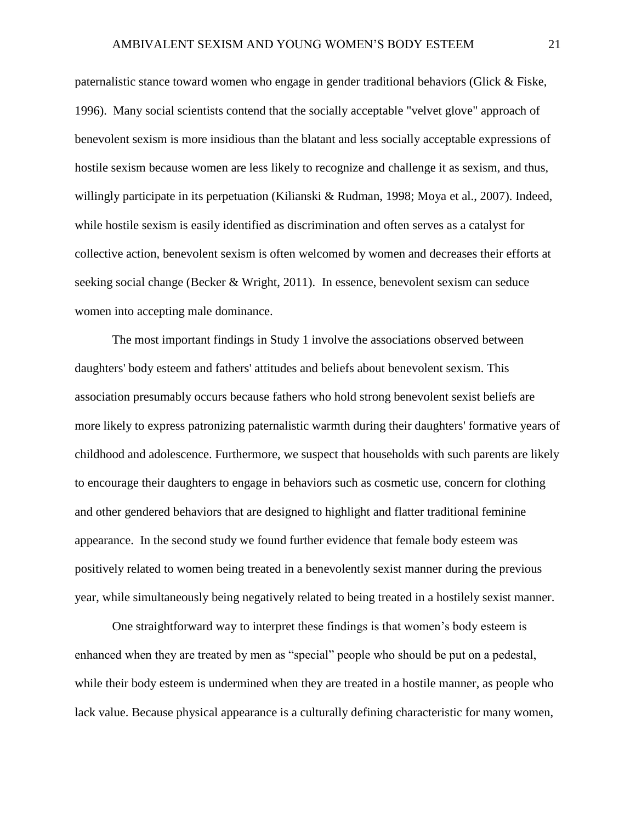paternalistic stance toward women who engage in gender traditional behaviors (Glick & Fiske, 1996). Many social scientists contend that the socially acceptable "velvet glove" approach of benevolent sexism is more insidious than the blatant and less socially acceptable expressions of hostile sexism because women are less likely to recognize and challenge it as sexism, and thus, willingly participate in its perpetuation (Kilianski & Rudman, 1998; Moya et al., 2007). Indeed, while hostile sexism is easily identified as discrimination and often serves as a catalyst for collective action, benevolent sexism is often welcomed by women and decreases their efforts at seeking social change (Becker & Wright, 2011). In essence, benevolent sexism can seduce women into accepting male dominance.

The most important findings in Study 1 involve the associations observed between daughters' body esteem and fathers' attitudes and beliefs about benevolent sexism. This association presumably occurs because fathers who hold strong benevolent sexist beliefs are more likely to express patronizing paternalistic warmth during their daughters' formative years of childhood and adolescence. Furthermore, we suspect that households with such parents are likely to encourage their daughters to engage in behaviors such as cosmetic use, concern for clothing and other gendered behaviors that are designed to highlight and flatter traditional feminine appearance. In the second study we found further evidence that female body esteem was positively related to women being treated in a benevolently sexist manner during the previous year, while simultaneously being negatively related to being treated in a hostilely sexist manner.

One straightforward way to interpret these findings is that women's body esteem is enhanced when they are treated by men as "special" people who should be put on a pedestal, while their body esteem is undermined when they are treated in a hostile manner, as people who lack value. Because physical appearance is a culturally defining characteristic for many women,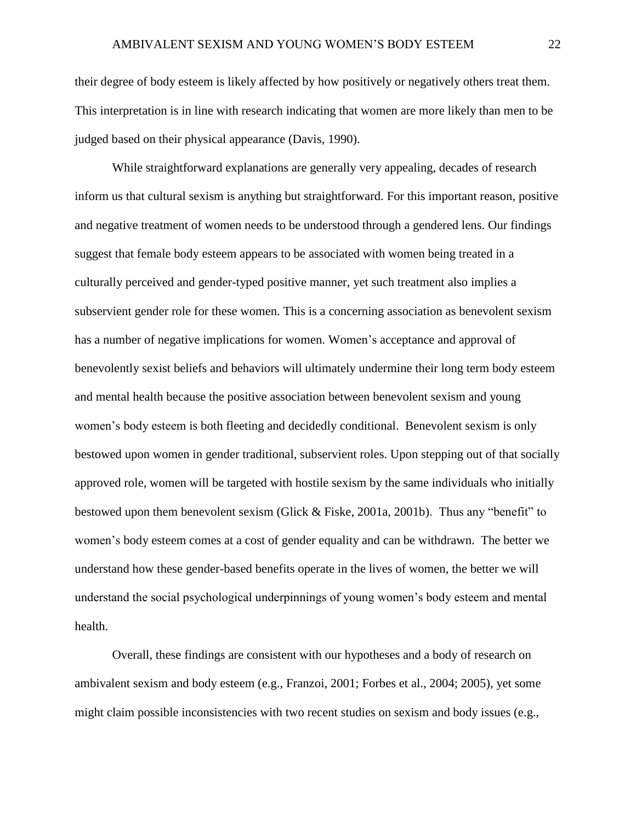their degree of body esteem is likely affected by how positively or negatively others treat them. This interpretation is in line with research indicating that women are more likely than men to be judged based on their physical appearance (Davis, 1990).

While straightforward explanations are generally very appealing, decades of research inform us that cultural sexism is anything but straightforward. For this important reason, positive and negative treatment of women needs to be understood through a gendered lens. Our findings suggest that female body esteem appears to be associated with women being treated in a culturally perceived and gender-typed positive manner, yet such treatment also implies a subservient gender role for these women. This is a concerning association as benevolent sexism has a number of negative implications for women. Women's acceptance and approval of benevolently sexist beliefs and behaviors will ultimately undermine their long term body esteem and mental health because the positive association between benevolent sexism and young women's body esteem is both fleeting and decidedly conditional. Benevolent sexism is only bestowed upon women in gender traditional, subservient roles. Upon stepping out of that socially approved role, women will be targeted with hostile sexism by the same individuals who initially bestowed upon them benevolent sexism (Glick & Fiske, 2001a, 2001b). Thus any "benefit" to women's body esteem comes at a cost of gender equality and can be withdrawn. The better we understand how these gender-based benefits operate in the lives of women, the better we will understand the social psychological underpinnings of young women's body esteem and mental health.

Overall, these findings are consistent with our hypotheses and a body of research on ambivalent sexism and body esteem (e.g., Franzoi, 2001; Forbes et al., 2004; 2005), yet some might claim possible inconsistencies with two recent studies on sexism and body issues (e.g.,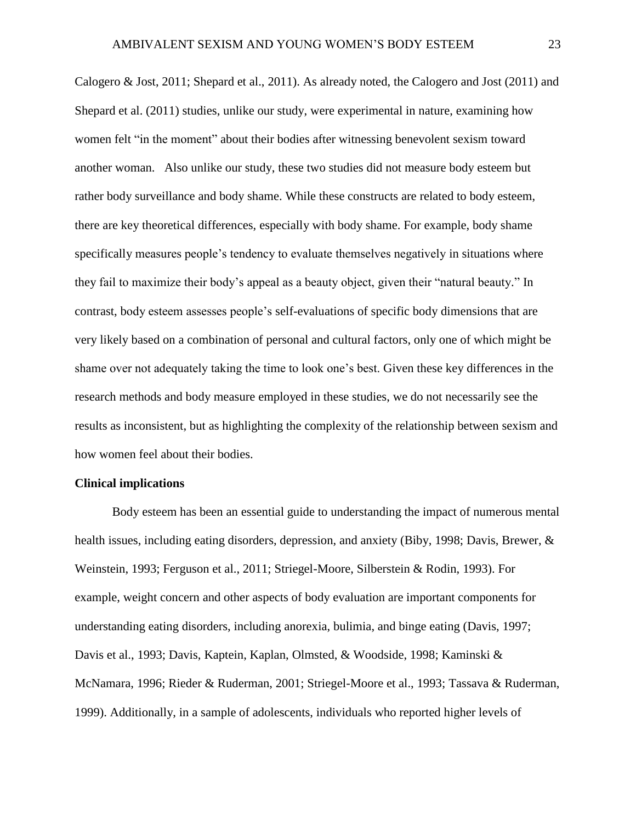Calogero & Jost, 2011; Shepard et al., 2011). As already noted, the Calogero and Jost (2011) and Shepard et al. (2011) studies, unlike our study, were experimental in nature, examining how women felt "in the moment" about their bodies after witnessing benevolent sexism toward another woman. Also unlike our study, these two studies did not measure body esteem but rather body surveillance and body shame. While these constructs are related to body esteem, there are key theoretical differences, especially with body shame. For example, body shame specifically measures people's tendency to evaluate themselves negatively in situations where they fail to maximize their body's appeal as a beauty object, given their "natural beauty." In contrast, body esteem assesses people's self-evaluations of specific body dimensions that are very likely based on a combination of personal and cultural factors, only one of which might be shame over not adequately taking the time to look one's best. Given these key differences in the research methods and body measure employed in these studies, we do not necessarily see the results as inconsistent, but as highlighting the complexity of the relationship between sexism and how women feel about their bodies.

## **Clinical implications**

Body esteem has been an essential guide to understanding the impact of numerous mental health issues, including eating disorders, depression, and anxiety (Biby, 1998; Davis, Brewer, & Weinstein, 1993; Ferguson et al., 2011; Striegel-Moore, Silberstein & Rodin, 1993). For example, weight concern and other aspects of body evaluation are important components for understanding eating disorders, including anorexia, bulimia, and binge eating (Davis, 1997; Davis et al., 1993; Davis, Kaptein, Kaplan, Olmsted, & Woodside, 1998; Kaminski & McNamara, 1996; Rieder & Ruderman, 2001; Striegel-Moore et al., 1993; Tassava & Ruderman, 1999). Additionally, in a sample of adolescents, individuals who reported higher levels of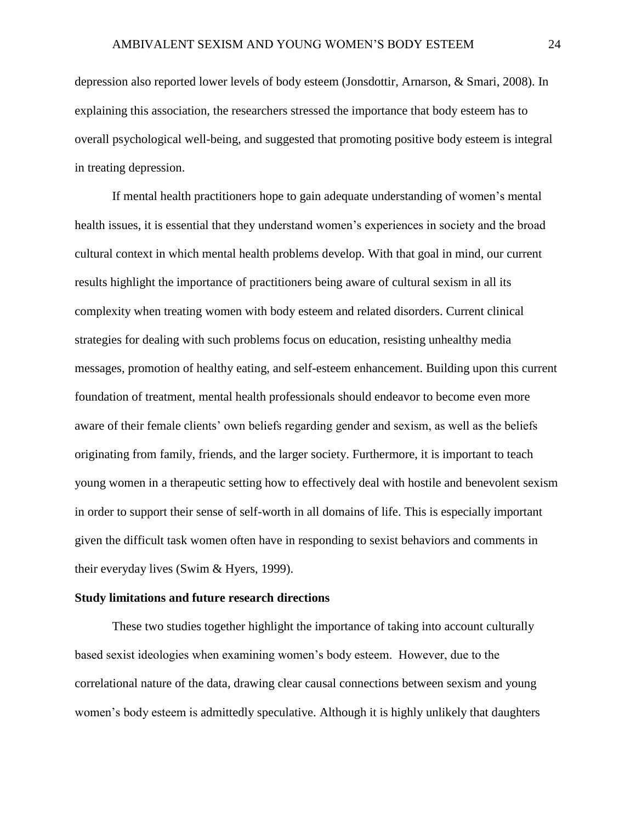depression also reported lower levels of body esteem (Jonsdottir, Arnarson, & Smari, 2008). In explaining this association, the researchers stressed the importance that body esteem has to overall psychological well-being, and suggested that promoting positive body esteem is integral in treating depression.

If mental health practitioners hope to gain adequate understanding of women's mental health issues, it is essential that they understand women's experiences in society and the broad cultural context in which mental health problems develop. With that goal in mind, our current results highlight the importance of practitioners being aware of cultural sexism in all its complexity when treating women with body esteem and related disorders. Current clinical strategies for dealing with such problems focus on education, resisting unhealthy media messages, promotion of healthy eating, and self-esteem enhancement. Building upon this current foundation of treatment, mental health professionals should endeavor to become even more aware of their female clients' own beliefs regarding gender and sexism, as well as the beliefs originating from family, friends, and the larger society. Furthermore, it is important to teach young women in a therapeutic setting how to effectively deal with hostile and benevolent sexism in order to support their sense of self-worth in all domains of life. This is especially important given the difficult task women often have in responding to sexist behaviors and comments in their everyday lives (Swim & Hyers, 1999).

#### **Study limitations and future research directions**

These two studies together highlight the importance of taking into account culturally based sexist ideologies when examining women's body esteem. However, due to the correlational nature of the data, drawing clear causal connections between sexism and young women's body esteem is admittedly speculative. Although it is highly unlikely that daughters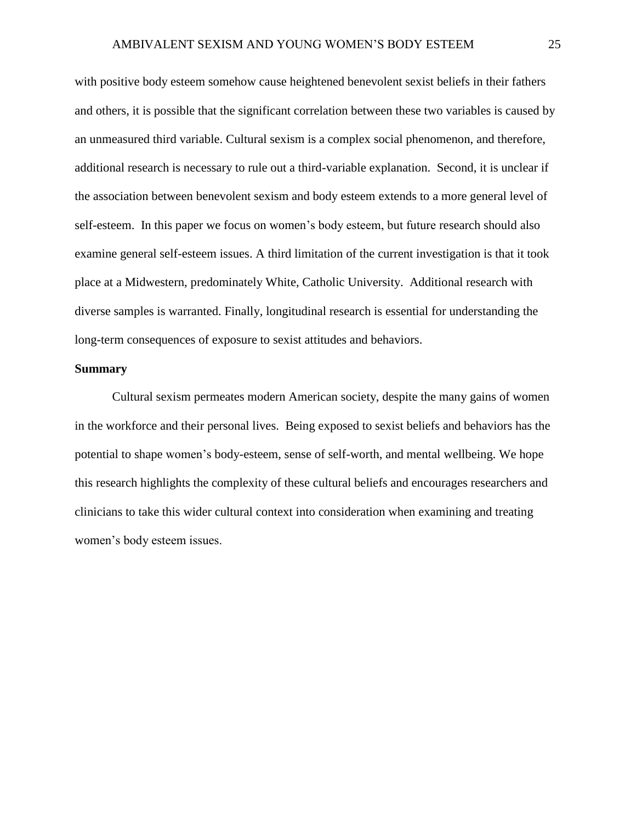with positive body esteem somehow cause heightened benevolent sexist beliefs in their fathers and others, it is possible that the significant correlation between these two variables is caused by an unmeasured third variable. Cultural sexism is a complex social phenomenon, and therefore, additional research is necessary to rule out a third-variable explanation. Second, it is unclear if the association between benevolent sexism and body esteem extends to a more general level of self-esteem. In this paper we focus on women's body esteem, but future research should also examine general self-esteem issues. A third limitation of the current investigation is that it took place at a Midwestern, predominately White, Catholic University. Additional research with diverse samples is warranted. Finally, longitudinal research is essential for understanding the long-term consequences of exposure to sexist attitudes and behaviors.

#### **Summary**

Cultural sexism permeates modern American society, despite the many gains of women in the workforce and their personal lives. Being exposed to sexist beliefs and behaviors has the potential to shape women's body-esteem, sense of self-worth, and mental wellbeing. We hope this research highlights the complexity of these cultural beliefs and encourages researchers and clinicians to take this wider cultural context into consideration when examining and treating women's body esteem issues.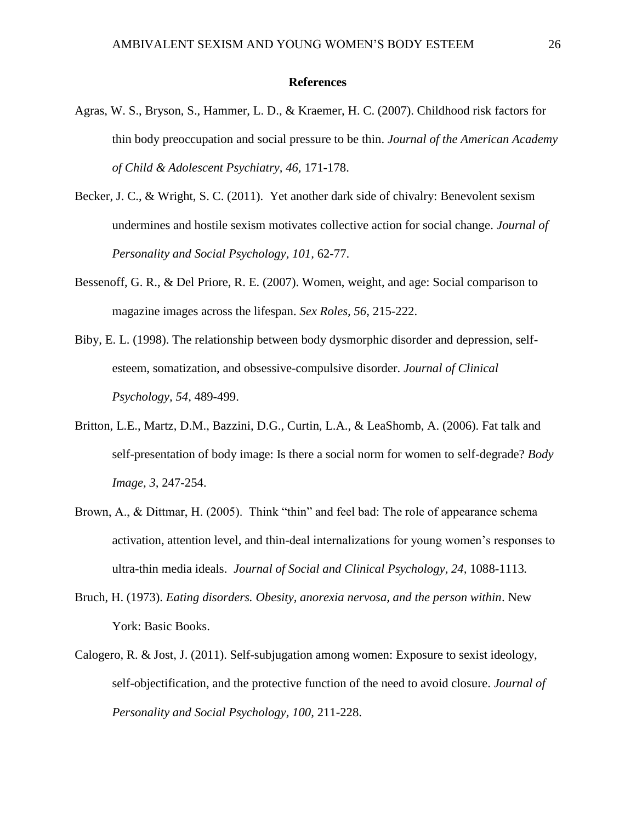#### **References**

- Agras, W. S., Bryson, S., Hammer, L. D., & Kraemer, H. C. (2007). Childhood risk factors for thin body preoccupation and social pressure to be thin. *Journal of the American Academy of Child & Adolescent Psychiatry, 46,* 171-178.
- Becker, J. C., & Wright, S. C. (2011). Yet another dark side of chivalry: Benevolent sexism undermines and hostile sexism motivates collective action for social change. *Journal of Personality and Social Psychology, 101,* 62-77.
- Bessenoff, G. R., & Del Priore, R. E. (2007). Women, weight, and age: Social comparison to magazine images across the lifespan. *Sex Roles, 56,* 215-222.
- Biby, E. L. (1998). The relationship between body dysmorphic disorder and depression, selfesteem, somatization, and obsessive-compulsive disorder. *Journal of Clinical Psychology, 54,* 489-499.
- Britton, L.E., Martz, D.M., Bazzini, D.G., Curtin, L.A., & LeaShomb, A. (2006). Fat talk and self-presentation of body image: Is there a social norm for women to self-degrade? *Body Image, 3,* 247-254.
- Brown, A., & Dittmar, H. (2005). Think "thin" and feel bad: The role of appearance schema activation, attention level, and thin-deal internalizations for young women's responses to ultra-thin media ideals. *Journal of Social and Clinical Psychology, 24,* 1088-1113*.*
- Bruch, H. (1973). *Eating disorders. Obesity, anorexia nervosa, and the person within*. New York: Basic Books.
- Calogero, R. & Jost, J. (2011). Self-subjugation among women: Exposure to sexist ideology, self-objectification, and the protective function of the need to avoid closure. *Journal of Personality and Social Psychology, 100,* 211-228.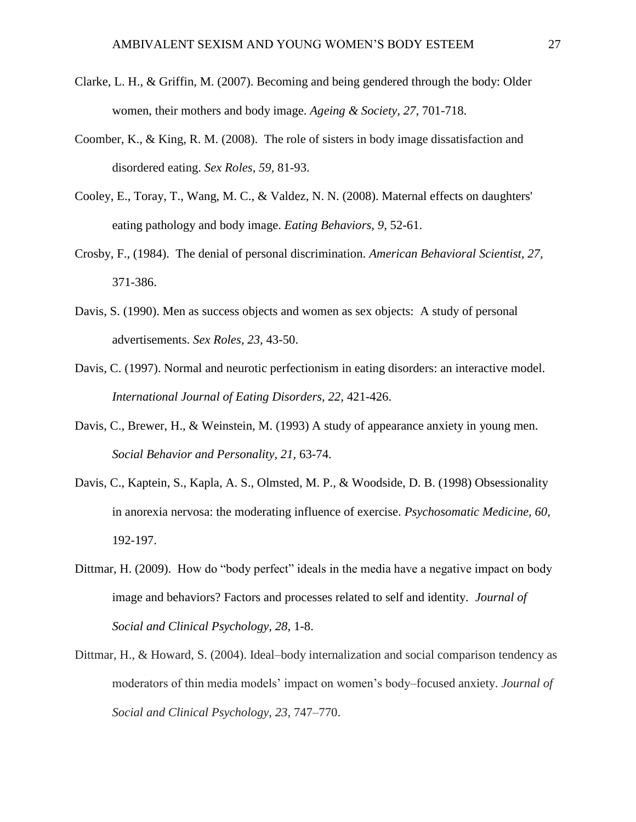- Clarke, L. H., & Griffin, M. (2007). Becoming and being gendered through the body: Older women, their mothers and body image. *Ageing & Society, 27,* 701-718.
- Coomber, K., & King, R. M. (2008). The role of sisters in body image dissatisfaction and disordered eating. *Sex Roles, 59,* 81-93.
- Cooley, E., Toray, T., Wang, M. C., & Valdez, N. N. (2008). Maternal effects on daughters' eating pathology and body image. *Eating Behaviors, 9*, 52-61.
- Crosby, F., (1984). The denial of personal discrimination. *American Behavioral Scientist, 27,*  371-386.
- Davis, S. (1990). Men as success objects and women as sex objects: A study of personal advertisements. *Sex Roles, 23,* 43-50.
- Davis, C. (1997). Normal and neurotic perfectionism in eating disorders: an interactive model. *International Journal of Eating Disorders, 22,* 421-426.
- Davis, C., Brewer, H., & Weinstein, M. (1993) A study of appearance anxiety in young men. *Social Behavior and Personality, 21,* 63-74.
- Davis, C., Kaptein, S., Kapla, A. S., Olmsted, M. P., & Woodside, D. B. (1998) Obsessionality in anorexia nervosa: the moderating influence of exercise. *Psychosomatic Medicine, 60,*  192-197.
- Dittmar, H. (2009). How do "body perfect" ideals in the media have a negative impact on body image and behaviors? Factors and processes related to self and identity. *Journal of Social and Clinical Psychology, 28,* 1-8.
- Dittmar, H., & Howard, S. (2004). Ideal–body internalization and social comparison tendency as moderators of thin media models' impact on women's body–focused anxiety. *Journal of Social and Clinical Psychology, 23,* 747–770.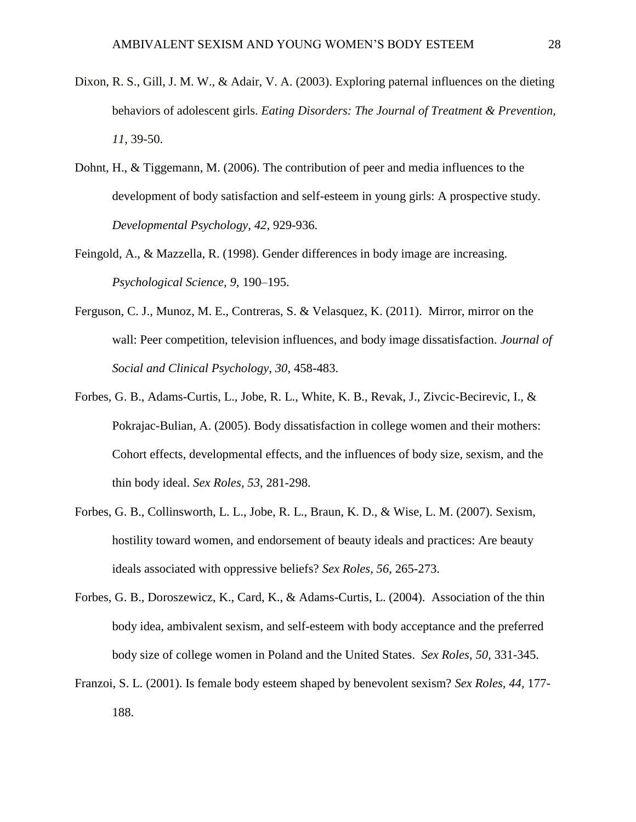- Dixon, R. S., Gill, J. M. W., & Adair, V. A. (2003). Exploring paternal influences on the dieting behaviors of adolescent girls. *Eating Disorders: The Journal of Treatment & Prevention, 11*, 39-50.
- Dohnt, H., & Tiggemann, M. (2006). The contribution of peer and media influences to the development of body satisfaction and self-esteem in young girls: A prospective study. *Developmental Psychology, 42*, 929-936.
- Feingold, A., & Mazzella, R. (1998). Gender differences in body image are increasing. *Psychological Science, 9,* 190–195.
- Ferguson, C. J., Munoz, M. E., Contreras, S. & Velasquez, K. (2011). Mirror, mirror on the wall: Peer competition, television influences, and body image dissatisfaction. *Journal of Social and Clinical Psychology, 30,* 458-483.
- Forbes, G. B., Adams-Curtis, L., Jobe, R. L., White, K. B., Revak, J., Zivcic-Becirevic, I., & Pokrajac-Bulian, A. (2005). Body dissatisfaction in college women and their mothers: Cohort effects, developmental effects, and the influences of body size, sexism, and the thin body ideal. *Sex Roles, 53*, 281-298.
- Forbes, G. B., Collinsworth, L. L., Jobe, R. L., Braun, K. D., & Wise, L. M. (2007). Sexism, hostility toward women, and endorsement of beauty ideals and practices: Are beauty ideals associated with oppressive beliefs? *Sex Roles, 56*, 265-273.
- Forbes, G. B., Doroszewicz, K., Card, K., & Adams-Curtis, L. (2004). Association of the thin body idea, ambivalent sexism, and self-esteem with body acceptance and the preferred body size of college women in Poland and the United States. *Sex Roles, 50,* 331-345.
- Franzoi, S. L. (2001). Is female body esteem shaped by benevolent sexism? *Sex Roles, 44,* 177- 188.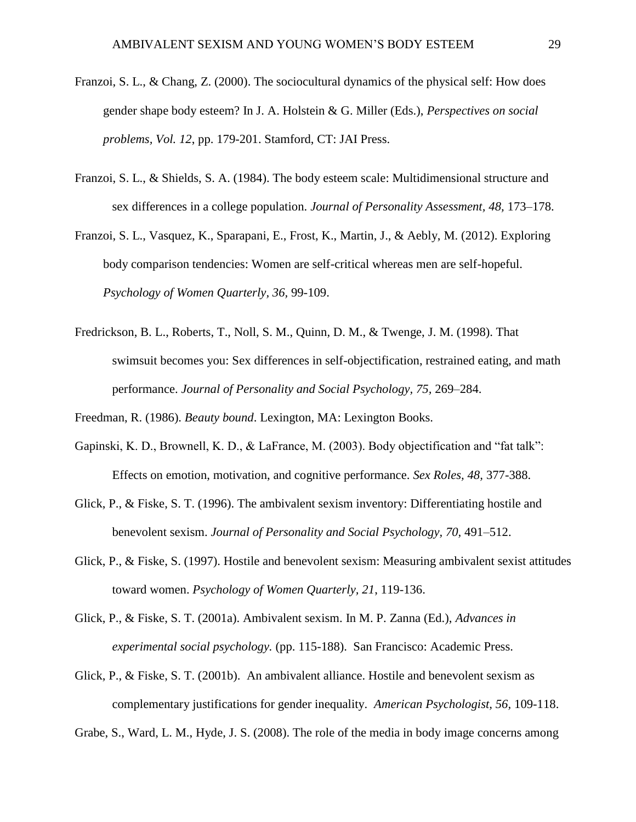- Franzoi, S. L., & Chang, Z. (2000). The sociocultural dynamics of the physical self: How does gender shape body esteem? In J. A. Holstein & G. Miller (Eds.), *Perspectives on social problems, Vol. 12*, pp. 179-201. Stamford, CT: JAI Press.
- Franzoi, S. L., & Shields, S. A. (1984). The body esteem scale: Multidimensional structure and sex differences in a college population. *Journal of Personality Assessment, 48,* 173–178.
- Franzoi, S. L., Vasquez, K., Sparapani, E., Frost, K., Martin, J., & Aebly, M. (2012). Exploring body comparison tendencies: Women are self-critical whereas men are self-hopeful. *Psychology of Women Quarterly, 36,* 99-109.
- Fredrickson, B. L., Roberts, T., Noll, S. M., Quinn, D. M., & Twenge, J. M. (1998). That swimsuit becomes you: Sex differences in self-objectification, restrained eating, and math performance. *Journal of Personality and Social Psychology, 75,* 269–284.

Freedman, R. (1986). *Beauty bound*. Lexington, MA: Lexington Books.

- Gapinski, K. D., Brownell, K. D., & LaFrance, M. (2003). Body objectification and "fat talk": Effects on emotion, motivation, and cognitive performance. *Sex Roles, 48,* 377-388.
- Glick, P., & Fiske, S. T. (1996). The ambivalent sexism inventory: Differentiating hostile and benevolent sexism. *Journal of Personality and Social Psychology, 70,* 491–512.
- Glick, P., & Fiske, S. (1997). Hostile and benevolent sexism: Measuring ambivalent sexist attitudes toward women. *Psychology of Women Quarterly, 21*, 119-136.
- Glick, P., & Fiske, S. T. (2001a). Ambivalent sexism. In M. P. Zanna (Ed.), *Advances in experimental social psychology.* (pp. 115-188). San Francisco: Academic Press.
- Glick, P., & Fiske, S. T. (2001b). An ambivalent alliance. Hostile and benevolent sexism as complementary justifications for gender inequality. *American Psychologist, 56,* 109-118.

Grabe, S., Ward, L. M., Hyde, J. S. (2008). The role of the media in body image concerns among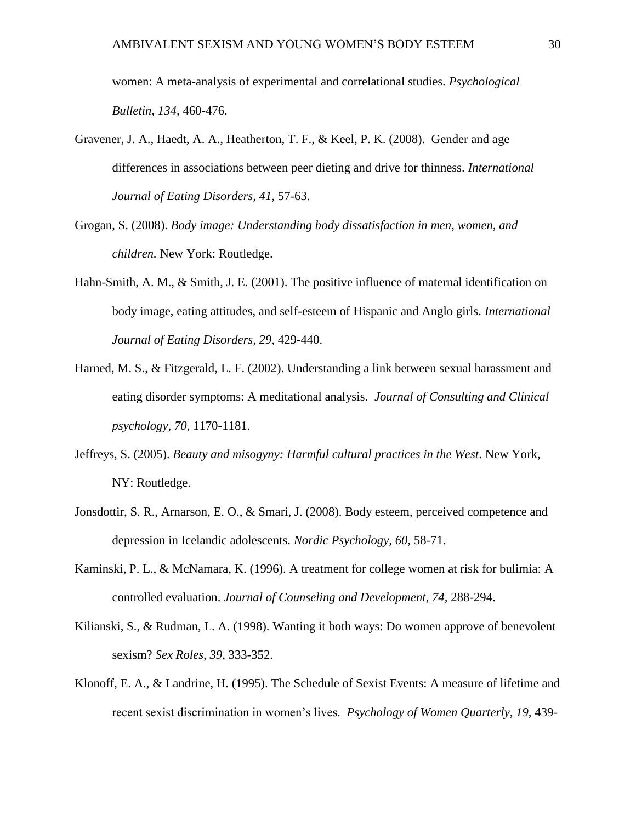women: A meta-analysis of experimental and correlational studies. *Psychological Bulletin, 134,* 460-476.

- Gravener, J. A., Haedt, A. A., Heatherton, T. F., & Keel, P. K. (2008). Gender and age differences in associations between peer dieting and drive for thinness. *International Journal of Eating Disorders, 41,* 57-63.
- Grogan, S. (2008). *Body image: Understanding body dissatisfaction in men, women, and children.* New York: Routledge.
- Hahn-Smith, A. M., & Smith, J. E. (2001). The positive influence of maternal identification on body image, eating attitudes, and self-esteem of Hispanic and Anglo girls. *International Journal of Eating Disorders, 29*, 429-440.
- Harned, M. S., & Fitzgerald, L. F. (2002). Understanding a link between sexual harassment and eating disorder symptoms: A meditational analysis. *Journal of Consulting and Clinical psychology, 70,* 1170-1181.
- Jeffreys, S. (2005). *Beauty and misogyny: Harmful cultural practices in the West*. New York, NY: Routledge.
- Jonsdottir, S. R., Arnarson, E. O., & Smari, J. (2008). Body esteem, perceived competence and depression in Icelandic adolescents. *Nordic Psychology, 60,* 58-71.
- Kaminski, P. L., & McNamara, K. (1996). A treatment for college women at risk for bulimia: A controlled evaluation. *Journal of Counseling and Development, 74,* 288-294.
- Kilianski, S., & Rudman, L. A. (1998). Wanting it both ways: Do women approve of benevolent sexism? *Sex Roles, 39*, 333-352.
- Klonoff, E. A., & Landrine, H. (1995). The Schedule of Sexist Events: A measure of lifetime and recent sexist discrimination in women's lives. *Psychology of Women Quarterly, 19,* 439-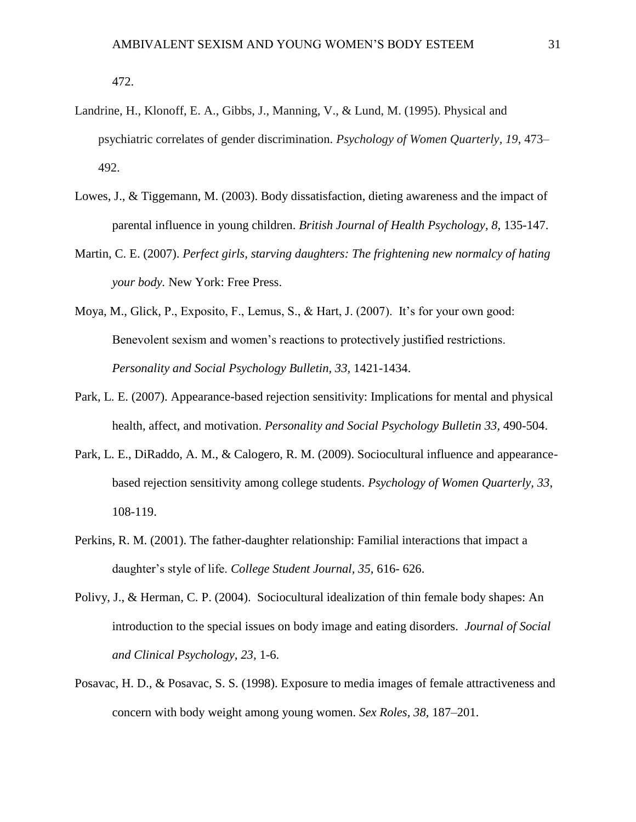472.

- Landrine, H., Klonoff, E. A., Gibbs, J., Manning, V., & Lund, M. (1995). Physical and psychiatric correlates of gender discrimination. *Psychology of Women Quarterly, 19*, 473– 492.
- Lowes, J., & Tiggemann, M. (2003). Body dissatisfaction, dieting awareness and the impact of parental influence in young children. *British Journal of Health Psychology, 8,* 135-147.
- Martin, C. E. (2007). *Perfect girls, starving daughters: The frightening new normalcy of hating your body.* New York: Free Press.
- Moya, M., Glick, P., Exposito, F., Lemus, S., & Hart, J. (2007). It's for your own good: Benevolent sexism and women's reactions to protectively justified restrictions. *Personality and Social Psychology Bulletin, 33,* 1421-1434.
- Park, L. E. (2007). Appearance-based rejection sensitivity: Implications for mental and physical health, affect, and motivation. *Personality and Social Psychology Bulletin 33,* 490-504.
- Park, L. E., DiRaddo, A. M., & Calogero, R. M. (2009). Sociocultural influence and appearancebased rejection sensitivity among college students. *Psychology of Women Quarterly, 33*, 108-119.
- Perkins, R. M. (2001). The father-daughter relationship: Familial interactions that impact a daughter's style of life. *College Student Journal, 35,* 616- 626.
- Polivy, J., & Herman, C. P. (2004). Sociocultural idealization of thin female body shapes: An introduction to the special issues on body image and eating disorders. *Journal of Social and Clinical Psychology, 23,* 1-6.
- Posavac, H. D., & Posavac, S. S. (1998). Exposure to media images of female attractiveness and concern with body weight among young women. *Sex Roles, 38,* 187–201.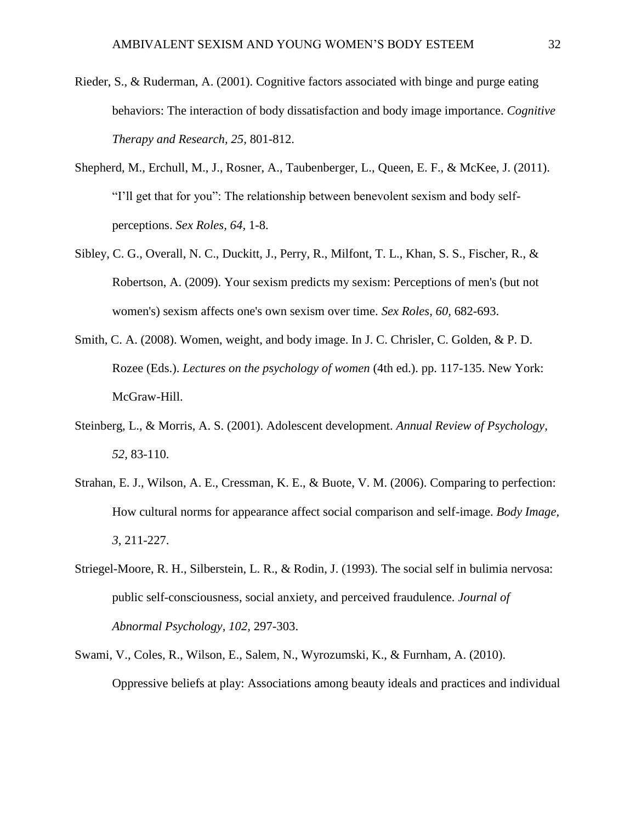- Rieder, S., & Ruderman, A. (2001). Cognitive factors associated with binge and purge eating behaviors: The interaction of body dissatisfaction and body image importance. *Cognitive Therapy and Research, 25,* 801-812.
- Shepherd, M., Erchull, M., J., Rosner, A., Taubenberger, L., Queen, E. F., & McKee, J. (2011). "I'll get that for you": The relationship between benevolent sexism and body selfperceptions. *Sex Roles, 64,* 1-8.
- Sibley, C. G., Overall, N. C., Duckitt, J., Perry, R., Milfont, T. L., Khan, S. S., Fischer, R., & Robertson, A. (2009). Your sexism predicts my sexism: Perceptions of men's (but not women's) sexism affects one's own sexism over time. *Sex Roles, 60,* 682-693.
- Smith, C. A. (2008). Women, weight, and body image. In J. C. Chrisler, C. Golden, & P. D. Rozee (Eds.). *Lectures on the psychology of women* (4th ed.). pp. 117-135. New York: McGraw-Hill.
- Steinberg, L., & Morris, A. S. (2001). Adolescent development. *Annual Review of Psychology, 52,* 83-110.
- Strahan, E. J., Wilson, A. E., Cressman, K. E., & Buote, V. M. (2006). Comparing to perfection: How cultural norms for appearance affect social comparison and self-image. *Body Image, 3*, 211-227.
- Striegel-Moore, R. H., Silberstein, L. R., & Rodin, J. (1993). The social self in bulimia nervosa: public self-consciousness, social anxiety, and perceived fraudulence. *Journal of Abnormal Psychology, 102,* 297-303.
- Swami, V., Coles, R., Wilson, E., Salem, N., Wyrozumski, K., & Furnham, A. (2010). Oppressive beliefs at play: Associations among beauty ideals and practices and individual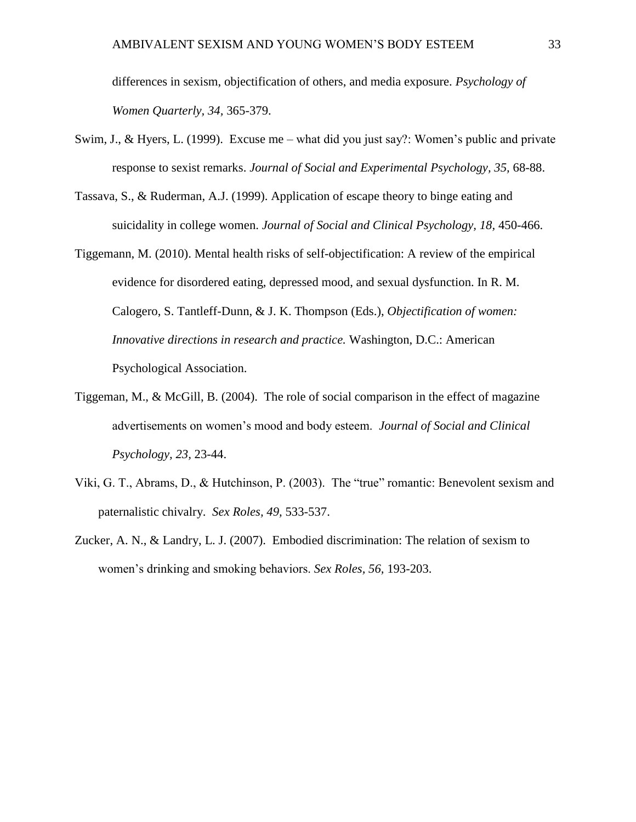differences in sexism, objectification of others, and media exposure. *Psychology of Women Quarterly, 34,* 365-379.

- Swim, J., & Hyers, L. (1999). Excuse me what did you just say?: Women's public and private response to sexist remarks. *Journal of Social and Experimental Psychology, 35,* 68-88.
- Tassava, S., & Ruderman, A.J. (1999). Application of escape theory to binge eating and suicidality in college women. *Journal of Social and Clinical Psychology, 18,* 450-466.
- Tiggemann, M. (2010). Mental health risks of self-objectification: A review of the empirical evidence for disordered eating, depressed mood, and sexual dysfunction. In R. M. Calogero, S. Tantleff-Dunn, & J. K. Thompson (Eds.), *Objectification of women: Innovative directions in research and practice.* Washington, D.C.: American Psychological Association.
- Tiggeman, M., & McGill, B. (2004). The role of social comparison in the effect of magazine advertisements on women's mood and body esteem. *Journal of Social and Clinical Psychology, 23,* 23-44.
- Viki, G. T., Abrams, D., & Hutchinson, P. (2003). The "true" romantic: Benevolent sexism and paternalistic chivalry. *Sex Roles, 49,* 533-537.
- Zucker, A. N., & Landry, L. J. (2007). Embodied discrimination: The relation of sexism to women's drinking and smoking behaviors. *Sex Roles, 56,* 193-203.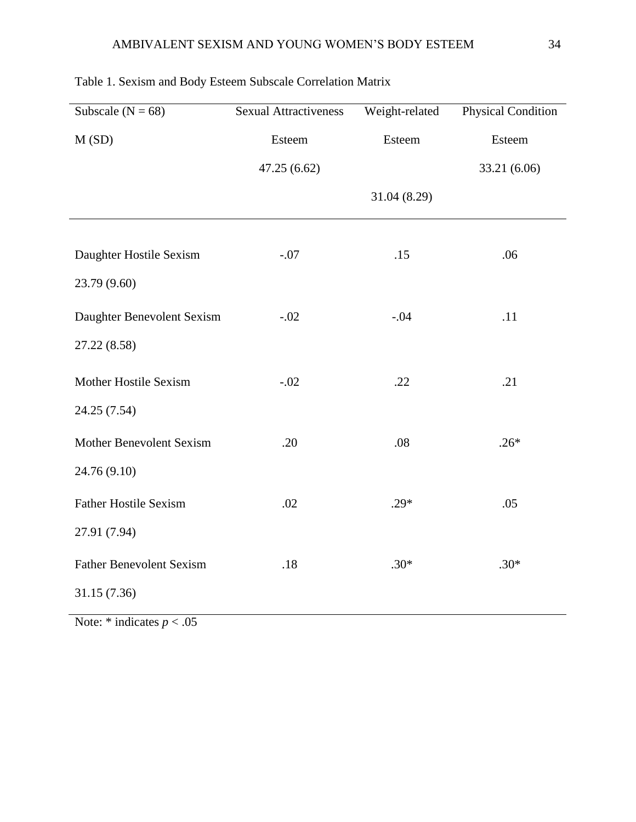| Subscale ( $N = 68$ )           | <b>Sexual Attractiveness</b> | Weight-related | Physical Condition |  |  |
|---------------------------------|------------------------------|----------------|--------------------|--|--|
| M(SD)                           | Esteem                       | Esteem         | Esteem             |  |  |
|                                 | 47.25 (6.62)                 |                | 33.21 (6.06)       |  |  |
|                                 |                              | 31.04 (8.29)   |                    |  |  |
|                                 |                              |                |                    |  |  |
| Daughter Hostile Sexism         | $-.07$                       | .15            | .06                |  |  |
| 23.79 (9.60)                    |                              |                |                    |  |  |
| Daughter Benevolent Sexism      | $-.02$                       | $-.04$         | .11                |  |  |
| 27.22 (8.58)                    |                              |                |                    |  |  |
| Mother Hostile Sexism           | $-.02$                       | .22            | .21                |  |  |
| 24.25 (7.54)                    |                              |                |                    |  |  |
| <b>Mother Benevolent Sexism</b> | .20                          | .08            | $.26*$             |  |  |
| 24.76 (9.10)                    |                              |                |                    |  |  |
| <b>Father Hostile Sexism</b>    | .02                          | $.29*$         | .05                |  |  |
| 27.91 (7.94)                    |                              |                |                    |  |  |
| <b>Father Benevolent Sexism</b> | .18                          | $.30*$         | $.30*$             |  |  |
| 31.15 (7.36)                    |                              |                |                    |  |  |

# Table 1. Sexism and Body Esteem Subscale Correlation Matrix

Note:  $*$  indicates  $p < .05$ 

l.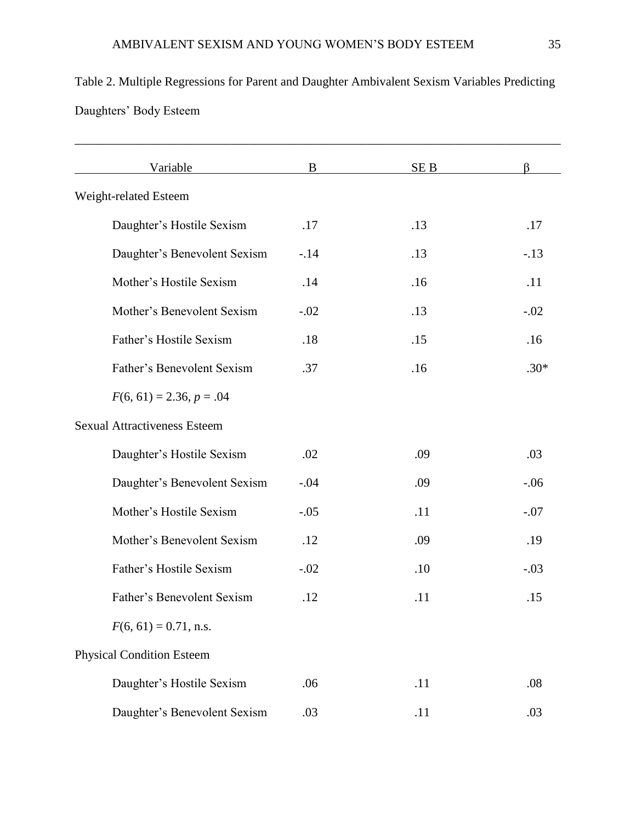| Daughters' Body Esteem              |        |                 |        |  |  |  |
|-------------------------------------|--------|-----------------|--------|--|--|--|
| Variable                            | B      | SE <sub>B</sub> | ß      |  |  |  |
| Weight-related Esteem               |        |                 |        |  |  |  |
| Daughter's Hostile Sexism           | .17    | .13             | .17    |  |  |  |
| Daughter's Benevolent Sexism        | $-.14$ | .13             | $-.13$ |  |  |  |
| Mother's Hostile Sexism             | .14    | .16             | .11    |  |  |  |
| Mother's Benevolent Sexism          | $-.02$ | .13             | $-.02$ |  |  |  |
| Father's Hostile Sexism             | .18    | .15             | .16    |  |  |  |
| Father's Benevolent Sexism          | .37    | .16             | $.30*$ |  |  |  |
| $F(6, 61) = 2.36, p = .04$          |        |                 |        |  |  |  |
| <b>Sexual Attractiveness Esteem</b> |        |                 |        |  |  |  |
| Daughter's Hostile Sexism           | .02    | .09             | .03    |  |  |  |

Daughter's Benevolent Sexism  $-.04$  .09  $-.06$ 

Mother's Hostile Sexism  $-.05$  .11  $-.07$ 

Mother's Benevolent Sexism .12 .09 .19

Father's Hostile Sexism  $-.02$  ... 10  $-.03$ 

Father's Benevolent Sexism .12 .11 .15

Daughter's Hostile Sexism .06 .11 .08

Daughter's Benevolent Sexism .03 .11 .03

 $F(6, 61) = 0.71$ , n.s.

Physical Condition Esteem

Table 2. Multiple Regressions for Parent and Daughter Ambivalent Sexism Variables Predicting Daughters' Body Esteem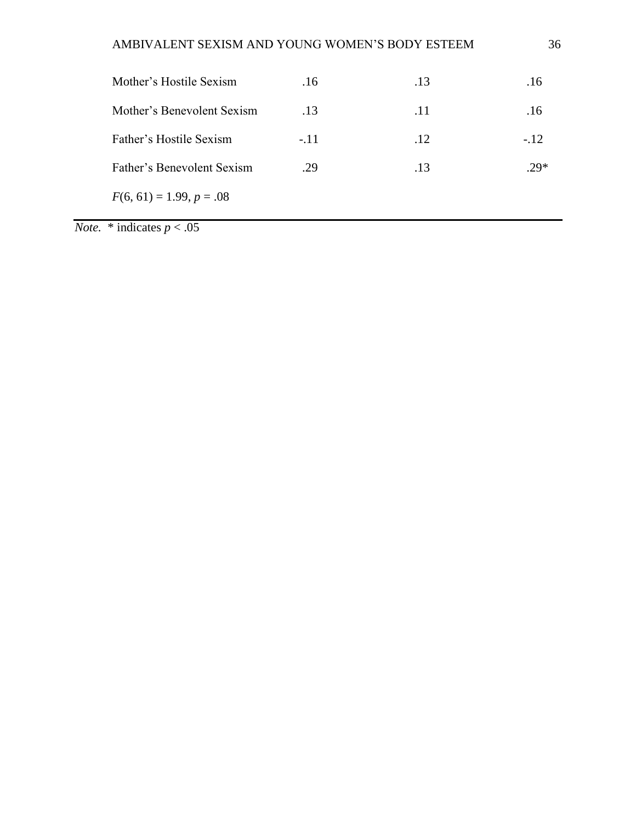| Mother's Hostile Sexism    | .16    | .13 | .16    |
|----------------------------|--------|-----|--------|
| Mother's Benevolent Sexism | .13    | .11 | .16    |
| Father's Hostile Sexism    | $-.11$ | .12 | $-.12$ |
| Father's Benevolent Sexism | .29    | .13 | $.29*$ |
| $F(6, 61) = 1.99, p = .08$ |        |     |        |
|                            |        |     |        |

*Note.*  $*$  indicates  $p < .05$